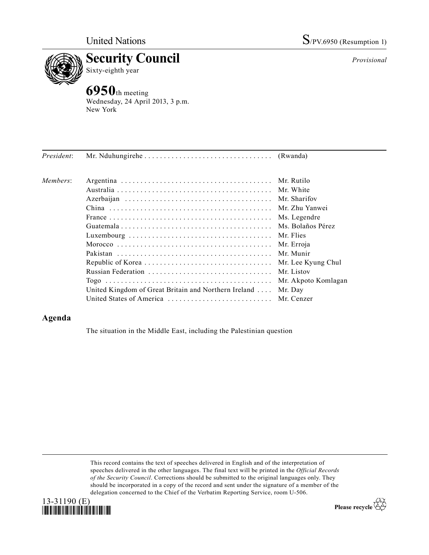*Provisional*



**6950**th meeting Wednesday, 24 April 2013, 3 p.m. New York

| President: |                                                      |                     |
|------------|------------------------------------------------------|---------------------|
| Members:   |                                                      |                     |
|            |                                                      |                     |
|            |                                                      |                     |
|            |                                                      | Mr. Zhu Yanwei      |
|            |                                                      | Ms. Legendre        |
|            |                                                      | Ms. Bolaños Pérez   |
|            |                                                      |                     |
|            |                                                      | Mr. Erroja          |
|            |                                                      |                     |
|            |                                                      | Mr. Lee Kyung Chul  |
|            |                                                      | Mr. Listov          |
|            |                                                      | Mr. Akpoto Komlagan |
|            | United Kingdom of Great Britain and Northern Ireland | Mr. Day             |
|            |                                                      |                     |

## **Agenda**

The situation in the Middle East, including the Palestinian question

This record contains the text of speeches delivered in English and of the interpretation of speeches delivered in the other languages. The final text will be printed in the *Official Records of the Security Council*. Corrections should be submitted to the original languages only. They should be incorporated in a copy of the record and sent under the signature of a member of the delegation concerned to the Chief of the Verbatim Reporting Service, room U-506.



Please recycle  $\overleftrightarrow{C}$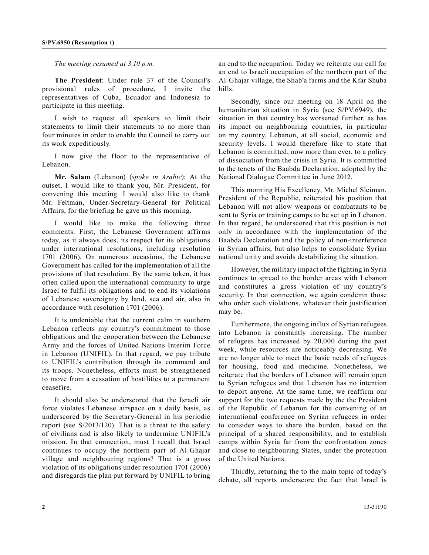*The meeting resumed at 3.10 p.m.*

**The President**: Under rule 37 of the Council's provisional rules of procedure, I invite the representatives of Cuba, Ecuador and Indonesia to participate in this meeting.

I wish to request all speakers to limit their statements to limit their statements to no more than four minutes in order to enable the Council to carry out its work expeditiously.

I now give the floor to the representative of Lebanon.

**Mr. Salam** (Lebanon) (*spoke in Arabic*): At the outset, I would like to thank you, Mr. President, for convening this meeting. I would also like to thank Mr. Feltman, Under-Secretary-General for Political Affairs, for the briefing he gave us this morning.

I would like to make the following three comments. First, the Lebanese Government affirms today, as it always does, its respect for its obligations under international resolutions, including resolution 1701 (2006). On numerous occasions, the Lebanese Government has called for the implementation of all the provisions of that resolution. By the same token, it has often called upon the international community to urge Israel to fulfil its obligations and to end its violations of Lebanese sovereignty by land, sea and air, also in accordance with resolution 1701 (2006).

It is undeniable that the current calm in southern Lebanon reflects my country's commitment to those obligations and the cooperation between the Lebanese Army and the forces of United Nations Interim Force in Lebanon (UNIFIL). In that regard, we pay tribute to UNIFIL's contribution through its command and its troops. Nonetheless, efforts must be strengthened to move from a cessation of hostilities to a permanent ceasefire.

It should also be underscored that the Israeli air force violates Lebanese airspace on a daily basis, as underscored by the Secretary-General in his periodic report (see S/2013/120). That is a threat to the safety of civilians and is also likely to undermine UNIFIL's mission. In that connection, must I recall that Israel continues to occupy the northern part of Al-Ghajar village and neighbouring regions? That is a gross violation of its obligations under resolution 1701 (2006) and disregards the plan put forward by UNIFIL to bring an end to the occupation. Today we reiterate our call for an end to Israeli occupation of the northern part of the Al-Ghajar village, the Shab'a farms and the Kfar Shuba hills.

Secondly, since our meeting on 18 April on the humanitarian situation in Syria (see S/PV.6949), the situation in that country has worsened further, as has its impact on neighbouring countries, in particular on my country, Lebanon, at all social, economic and security levels. I would therefore like to state that Lebanon is committed, now more than ever, to a policy of dissociation from the crisis in Syria. It is committed to the tenets of the Baabda Declaration, adopted by the National Dialogue Committee in June 2012.

This morning His Excellency, Mr. Michel Sleiman, President of the Republic, reiterated his position that Lebanon will not allow weapons or combatants to be sent to Syria or training camps to be set up in Lebanon. In that regard, he underscored that this position is not only in accordance with the implementation of the Baabda Declaration and the policy of non-interference in Syrian affairs, but also helps to consolidate Syrian national unity and avoids destabilizing the situation.

However, the military impact of the fighting in Syria continues to spread to the border areas with Lebanon and constitutes a gross violation of my country's security. In that connection, we again condemn those who order such violations, whatever their justification may be.

Furthermore, the ongoing influx of Syrian refugees into Lebanon is constantly increasing. The number of refugees has increased by 20,000 during the past week, while resources are noticeably decreasing. We are no longer able to meet the basic needs of refugees for housing, food and medicine. Nonetheless, we reiterate that the borders of Lebanon will remain open to Syrian refugees and that Lebanon has no intention to deport anyone. At the same time, we reaffirm our support for the two requests made by the the President of the Republic of Lebanon for the convening of an international conference on Syrian refugees in order to consider ways to share the burden, based on the principal of a shared responsibility, and to establish camps within Syria far from the confrontation zones and close to neighbouring States, under the protection of the United Nations.

Thirdly, returning the to the main topic of today's debate, all reports underscore the fact that Israel is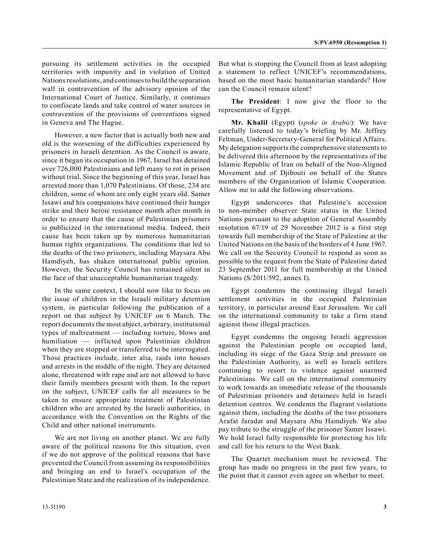pursuing its settlement activities in the occupied territories with impunity and in violation of United Nations resolutions, and continues to build the separation wall in contravention of the advisory opinion of the International Court of Justice. Similarly, it continues to confiscate lands and take control of water sources in contravention of the provisions of conventions signed in Geneva and The Hague.

However, a new factor that is actually both new and old is the worsening of the difficulties experienced by prisoners in Israeli detention. As the Council is aware, since it began its occupation in 1967, Israel has detained over 726,000 Palestinians and left many to rot in prison without trial. Since the beginning of this year, Israel has arrested more than 1,070 Palestinians. Of those, 234 are children, some of whom are only eight years old. Samer Issawi and his companions have continued their hunger strike and their heroic resistance month after month in order to ensure that the cause of Palestinian prisoners is publicized in the international media. Indeed, their cause has been taken up by numerous humanitarian human rights organizations. The conditions that led to the deaths of the two prisoners, including Maysara Abu Hamdiyeh, has shaken international public opinion. However, the Security Council has remained silent in the face of that unacceptable humanitarian tragedy.

In the same context, I should now like to focus on the issue of children in the Israeli military detention system, in particular following the publication of a report on that subject by UNICEF on 6 March. The report documents the most abject, arbitrary, institutional types of maltreatment — including torture, blows and humiliation — inflicted upon Palestinian children when they are stopped or transferred to be interrogated. Those practices include, inter alia, raids into houses and arrests in the middle of the night. They are detained alone, threatened with rape and are not allowed to have their family members present with them. In the report on the subject, UNICEF calls for all measures to be taken to ensure appropriate treatment of Palestinian children who are arrested by the Israeli authorities, in accordance with the Convention on the Rights of the Child and other national instruments.

We are not living on another planet. We are fully aware of the political reasons for this situation, even if we do not approve of the political reasons that have prevented the Council from assuming its responsibilities and bringing an end to Israel's occupation of the Palestinian State and the realization of its independence. But what is stopping the Council from at least adopting a statement to reflect UNICEF's recommendations, based on the most basic humanitarian standards? How can the Council remain silent?

**The President**: I now give the floor to the representative of Egypt.

**Mr. Khalil** (Egypt) (*spoke in Arabic*): We have carefully listened to today's briefing by Mr. Jeffrey Feltman, Under-Secretary-General for Political Affairs. My delegation supports the comprehensive statements to be delivered this afternoon by the representatives of the Islamic Republic of Iran on behalf of the Non-Aligned Movement and of Djibouti on behalf of the States members of the Organization of Islamic Cooperation. Allow me to add the following observations.

Egypt underscores that Palestine's accession to non-member observer State status in the United Nations pursuant to the adoption of General Assembly resolution 67/19 of 29 November 2012 is a first step towards full membership of the State of Palestine at the United Nations on the basis of the borders of 4 June 1967. We call on the Security Council to respond as soon as possible to the request from the State of Palestine dated 23 September 2011 for full membership at the United Nations (S/2011/592, annex I).

Egypt condemns the continuing illegal Israeli settlement activities in the occupied Palestinian territory, in particular around East Jerusalem. We call on the international community to take a firm stand against those illegal practices.

Egypt condemns the ongoing Israeli aggression against the Palestinian people on occupied land, including its siege of the Gaza Strip and pressure on the Palestinian Authority, as well as Israeli settlers continuing to resort to violence against unarmed Palestinians. We call on the international community to work towards an immediate release of the thousands of Palestinian prisoners and detainees held in Israeli detention centres. We condemn the flagrant violations against them, including the deaths of the two prisoners Arafat Jaradat and Maysara Abu Hamdiyeh. We also pay tribute to the struggle of the prisoner Samer Issawi. We hold Israel fully responsible for protecting his life and call for his return to the West Bank.

The Quartet mechanism must be reviewed. The group has made no progress in the past few years, to the point that it cannot even agree on whether to meet.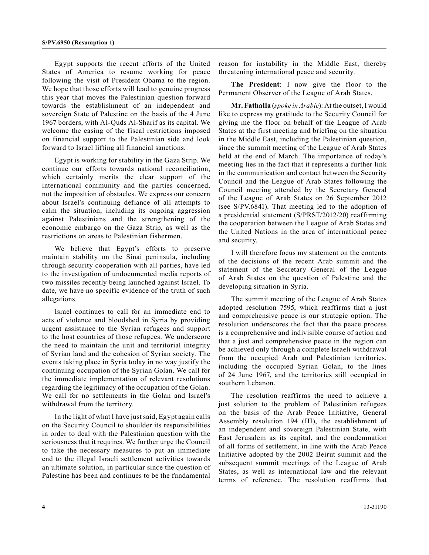Egypt supports the recent efforts of the United States of America to resume working for peace following the visit of President Obama to the region. We hope that those efforts will lead to genuine progress this year that moves the Palestinian question forward towards the establishment of an independent and sovereign State of Palestine on the basis of the 4 June 1967 borders, with Al-Quds Al-Sharif as its capital. We welcome the easing of the fiscal restrictions imposed on financial support to the Palestinian side and look forward to Israel lifting all financial sanctions.

Egypt is working for stability in the Gaza Strip. We continue our efforts towards national reconciliation, which certainly merits the clear support of the international community and the parties concerned, not the imposition of obstacles. We express our concern about Israel's continuing defiance of all attempts to calm the situation, including its ongoing aggression against Palestinians and the strengthening of the economic embargo on the Gaza Strip, as well as the restrictions on areas to Palestinian fishermen.

We believe that Egypt's efforts to preserve maintain stability on the Sinai peninsula, including through security cooperation with all parties, have led to the investigation of undocumented media reports of two missiles recently being launched against Israel. To date, we have no specific evidence of the truth of such allegations.

Israel continues to call for an immediate end to acts of violence and bloodshed in Syria by providing urgent assistance to the Syrian refugees and support to the host countries of those refugees. We underscore the need to maintain the unit and territorial integrity of Syrian land and the cohesion of Syrian society. The events taking place in Syria today in no way justify the continuing occupation of the Syrian Golan. We call for the immediate implementation of relevant resolutions regarding the legitimacy of the occupation of the Golan. We call for no settlements in the Golan and Israel's withdrawal from the territory.

In the light of what I have just said, Egypt again calls on the Security Council to shoulder its responsibilities in order to deal with the Palestinian question with the seriousness that it requires. We further urge the Council to take the necessary measures to put an immediate end to the illegal Israeli settlement activities towards an ultimate solution, in particular since the question of Palestine has been and continues to be the fundamental

reason for instability in the Middle East, thereby threatening international peace and security.

**The President**: I now give the floor to the Permanent Observer of the League of Arab States.

**Mr. Fathalla** (*spoke in Arabic*): At the outset, I would like to express my gratitude to the Security Council for giving me the floor on behalf of the League of Arab States at the first meeting and briefing on the situation in the Middle East, including the Palestinian question, since the summit meeting of the League of Arab States held at the end of March. The importance of today's meeting lies in the fact that it represents a further link in the communication and contact between the Security Council and the League of Arab States following the Council meeting attended by the Secretary General of the League of Arab States on 26 September 2012 (see S/PV.6841). That meeting led to the adoption of a presidential statement (S/PRST/2012/20) reaffirming the cooperation between the League of Arab States and the United Nations in the area of international peace and security.

I will therefore focus my statement on the contents of the decisions of the recent Arab summit and the statement of the Secretary General of the League of Arab States on the question of Palestine and the developing situation in Syria.

The summit meeting of the League of Arab States adopted resolution 7595, which reaffirms that a just and comprehensive peace is our strategic option. The resolution underscores the fact that the peace process is a comprehensive and indivisible course of action and that a just and comprehensive peace in the region can be achieved only through a complete Israeli withdrawal from the occupied Arab and Palestinian territories, including the occupied Syrian Golan, to the lines of 24 June 1967, and the territories still occupied in southern Lebanon.

The resolution reaffirms the need to achieve a just solution to the problem of Palestinian refugees on the basis of the Arab Peace Initiative, General Assembly resolution 194 (III), the establishment of an independent and sovereign Palestinian State, with East Jerusalem as its capital, and the condemnation of all forms of settlement, in line with the Arab Peace Initiative adopted by the 2002 Beirut summit and the subsequent summit meetings of the League of Arab States, as well as international law and the relevant terms of reference. The resolution reaffirms that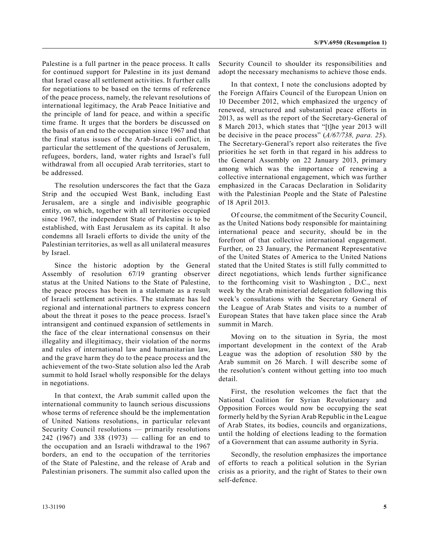Palestine is a full partner in the peace process. It calls for continued support for Palestine in its just demand that Israel cease all settlement activities. It further calls for negotiations to be based on the terms of reference of the peace process, namely, the relevant resolutions of international legitimacy, the Arab Peace Initiative and the principle of land for peace, and within a specific time frame. It urges that the borders be discussed on the basis of an end to the occupation since 1967 and that the final status issues of the Arab-Israeli conflict, in particular the settlement of the questions of Jerusalem, refugees, borders, land, water rights and Israel's full withdrawal from all occupied Arab territories, start to be addressed.

The resolution underscores the fact that the Gaza Strip and the occupied West Bank, including East Jerusalem, are a single and indivisible geographic entity, on which, together with all territories occupied since 1967, the independent State of Palestine is to be established, with East Jerusalem as its capital. It also condemns all Israeli efforts to divide the unity of the Palestinian territories, as well as all unilateral measures by Israel.

Since the historic adoption by the General Assembly of resolution 67/19 granting observer status at the United Nations to the State of Palestine, the peace process has been in a stalemate as a result of Israeli settlement activities. The stalemate has led regional and international partners to express concern about the threat it poses to the peace process. Israel's intransigent and continued expansion of settlements in the face of the clear international consensus on their illegality and illegitimacy, their violation of the norms and rules of international law and humanitarian law, and the grave harm they do to the peace process and the achievement of the two-State solution also led the Arab summit to hold Israel wholly responsible for the delays in negotiations.

In that context, the Arab summit called upon the international community to launch serious discussions whose terms of reference should be the implementation of United Nations resolutions, in particular relevant Security Council resolutions — primarily resolutions 242 (1967) and 338 (1973) — calling for an end to the occupation and an Israeli withdrawal to the 1967 borders, an end to the occupation of the territories of the State of Palestine, and the release of Arab and Palestinian prisoners. The summit also called upon the

Security Council to shoulder its responsibilities and adopt the necessary mechanisms to achieve those ends.

In that context, I note the conclusions adopted by the Foreign Affairs Council of the European Union on 10 December 2012, which emphasized the urgency of renewed, structured and substantial peace efforts in 2013, as well as the report of the Secretary-General of 8 March 2013, which states that "[t]he year 2013 will be decisive in the peace process" (*A/67/738, para. 25*). The Secretary-General's report also reiterates the five priorities he set forth in that regard in his address to the General Assembly on 22 January 2013, primary among which was the importance of renewing a collective international engagement, which was further emphasized in the Caracas Declaration in Solidarity with the Palestinian People and the State of Palestine of 18 April 2013.

Of course, the commitment of the Security Council, as the United Nations body responsible for maintaining international peace and security, should be in the forefront of that collective international engagement. Further, on 23 January, the Permanent Representative of the United States of America to the United Nations stated that the United States is still fully committed to direct negotiations, which lends further significance to the forthcoming visit to Washington , D.C., next week by the Arab ministerial delegation following this week's consultations with the Secretary General of the League of Arab States and visits to a number of European States that have taken place since the Arab summit in March.

Moving on to the situation in Syria, the most important development in the context of the Arab League was the adoption of resolution 580 by the Arab summit on 26 March. I will describe some of the resolution's content without getting into too much detail.

First, the resolution welcomes the fact that the National Coalition for Syrian Revolutionary and Opposition Forces would now be occupying the seat formerly held by the Syrian Arab Republic in the League of Arab States, its bodies, councils and organizations, until the holding of elections leading to the formation of a Government that can assume authority in Syria.

Secondly, the resolution emphasizes the importance of efforts to reach a political solution in the Syrian crisis as a priority, and the right of States to their own self-defence.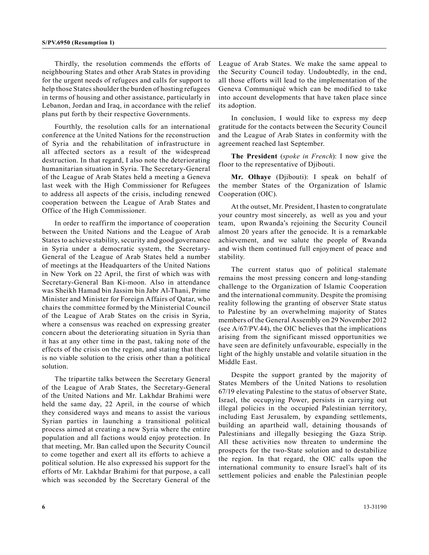Thirdly, the resolution commends the efforts of neighbouring States and other Arab States in providing for the urgent needs of refugees and calls for support to help those States shoulder the burden of hosting refugees in terms of housing and other assistance, particularly in Lebanon, Jordan and Iraq, in accordance with the relief plans put forth by their respective Governments.

Fourthly, the resolution calls for an international conference at the United Nations for the reconstruction of Syria and the rehabilitation of infrastructure in all affected sectors as a result of the widespread destruction. In that regard, I also note the deteriorating humanitarian situation in Syria. The Secretary-General of the League of Arab States held a meeting a Geneva last week with the High Commissioner for Refugees to address all aspects of the crisis, including renewed cooperation between the League of Arab States and Office of the High Commissioner.

In order to reaffirm the importance of cooperation between the United Nations and the League of Arab States to achieve stability, security and good governance in Syria under a democratic system, the Secretary-General of the League of Arab States held a number of meetings at the Headquarters of the United Nations in New York on 22 April, the first of which was with Secretary-General Ban Ki-moon. Also in attendance was Sheikh Hamad bin Jassim bin Jabr Al-Thani, Prime Minister and Minister for Foreign Affairs of Qatar, who chairs the committee formed by the Ministerial Council of the League of Arab States on the crisis in Syria, where a consensus was reached on expressing greater concern about the deteriorating situation in Syria than it has at any other time in the past, taking note of the effects of the crisis on the region, and stating that there is no viable solution to the crisis other than a political solution.

The tripartite talks between the Secretary General of the League of Arab States, the Secretary-General of the United Nations and Mr. Lakhdar Brahimi were held the same day, 22 April, in the course of which they considered ways and means to assist the various Syrian parties in launching a transitional political process aimed at creating a new Syria where the entire population and all factions would enjoy protection. In that meeting, Mr. Ban called upon the Security Council to come together and exert all its efforts to achieve a political solution. He also expressed his support for the efforts of Mr. Lakhdar Brahimi for that purpose, a call which was seconded by the Secretary General of the League of Arab States. We make the same appeal to the Security Council today. Undoubtedly, in the end, all those efforts will lead to the implementation of the Geneva Communiqué which can be modified to take into account developments that have taken place since its adoption.

In conclusion, I would like to express my deep gratitude for the contacts between the Security Council and the League of Arab States in conformity with the agreement reached last September.

**The President** (*spoke in French*): I now give the floor to the representative of Djibouti.

**Mr. Olhaye** (Djibouti): I speak on behalf of the member States of the Organization of Islamic Cooperation (OIC).

At the outset, Mr. President, I hasten to congratulate your country most sincerely, as well as you and your team, upon Rwanda's rejoining the Security Council almost 20 years after the genocide. It is a remarkable achievement, and we salute the people of Rwanda and wish them continued full enjoyment of peace and stability.

The current status quo of political stalemate remains the most pressing concern and long-standing challenge to the Organization of Islamic Cooperation and the international community. Despite the promising reality following the granting of observer State status to Palestine by an overwhelming majority of States members of the General Assembly on 29 November 2012 (see A/67/PV.44), the OIC believes that the implications arising from the significant missed opportunities we have seen are definitely unfavourable, especially in the light of the highly unstable and volatile situation in the Middle East.

Despite the support granted by the majority of States Members of the United Nations to resolution 67/19 elevating Palestine to the status of observer State, Israel, the occupying Power, persists in carrying out illegal policies in the occupied Palestinian territory, including East Jerusalem, by expanding settlements, building an apartheid wall, detaining thousands of Palestinians and illegally besieging the Gaza Strip. All these activities now threaten to undermine the prospects for the two-State solution and to destabilize the region. In that regard, the OIC calls upon the international community to ensure Israel's halt of its settlement policies and enable the Palestinian people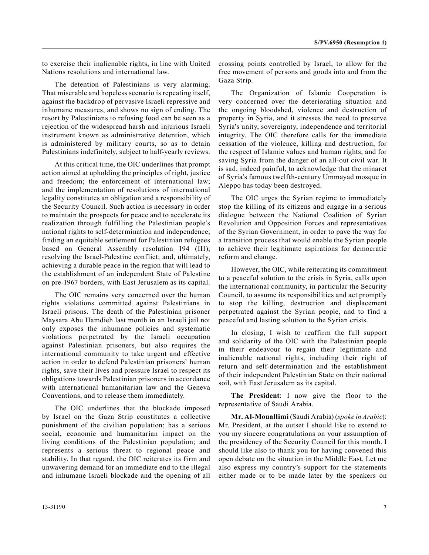to exercise their inalienable rights, in line with United Nations resolutions and international law.

The detention of Palestinians is very alarming. That miserable and hopeless scenario is repeating itself, against the backdrop of pervasive Israeli repressive and inhumane measures, and shows no sign of ending. The resort by Palestinians to refusing food can be seen as a rejection of the widespread harsh and injurious Israeli instrument known as administrative detention, which is administered by military courts, so as to detain Palestinians indefinitely, subject to half-yearly reviews.

At this critical time, the OIC underlines that prompt action aimed at upholding the principles of right, justice and freedom; the enforcement of international law; and the implementation of resolutions of international legality constitutes an obligation and a responsibility of the Security Council. Such action is necessary in order to maintain the prospects for peace and to accelerate its realization through fulfilling the Palestinian people's national rights to self-determination and independence; finding an equitable settlement for Palestinian refugees based on General Assembly resolution 194 (III); resolving the Israel-Palestine conflict; and, ultimately, achieving a durable peace in the region that will lead to the establishment of an independent State of Palestine on pre-1967 borders, with East Jerusalem as its capital.

The OIC remains very concerned over the human rights violations committed against Palestinians in Israeli prisons. The death of the Palestinian prisoner Maysara Abu Hamdieh last month in an Israeli jail not only exposes the inhumane policies and systematic violations perpetrated by the Israeli occupation against Palestinian prisoners, but also requires the international community to take urgent and effective action in order to defend Palestinian prisoners' human rights, save their lives and pressure Israel to respect its obligations towards Palestinian prisoners in accordance with international humanitarian law and the Geneva Conventions, and to release them immediately.

The OIC underlines that the blockade imposed by Israel on the Gaza Strip constitutes a collective punishment of the civilian population; has a serious social, economic and humanitarian impact on the living conditions of the Palestinian population; and represents a serious threat to regional peace and stability. In that regard, the OIC reiterates its firm and unwavering demand for an immediate end to the illegal and inhumane Israeli blockade and the opening of all crossing points controlled by Israel, to allow for the free movement of persons and goods into and from the Gaza Strip.

The Organization of Islamic Cooperation is very concerned over the deteriorating situation and the ongoing bloodshed, violence and destruction of property in Syria, and it stresses the need to preserve Syria's unity, sovereignty, independence and territorial integrity. The OIC therefore calls for the immediate cessation of the violence, killing and destruction, for the respect of Islamic values and human rights, and for saving Syria from the danger of an all-out civil war. It is sad, indeed painful, to acknowledge that the minaret of Syria's famous twelfth-century Ummayad mosque in Aleppo has today been destroyed.

The OIC urges the Syrian regime to immediately stop the killing of its citizens and engage in a serious dialogue between the National Coalition of Syrian Revolution and Opposition Forces and representatives of the Syrian Government, in order to pave the way for a transition process that would enable the Syrian people to achieve their legitimate aspirations for democratic reform and change.

However, the OIC, while reiterating its commitment to a peaceful solution to the crisis in Syria, calls upon the international community, in particular the Security Council, to assume its responsibilities and act promptly to stop the killing, destruction and displacement perpetrated against the Syrian people, and to find a peaceful and lasting solution to the Syrian crisis.

In closing, I wish to reaffirm the full support and solidarity of the OIC with the Palestinian people in their endeavour to regain their legitimate and inalienable national rights, including their right of return and self-determination and the establishment of their independent Palestinian State on their national soil, with East Jerusalem as its capital.

**The President**: I now give the floor to the representative of Saudi Arabia.

**Mr. Al-Mouallimi** (Saudi Arabia) (*spoke in Arabic*): Mr. President, at the outset I should like to extend to you my sincere congratulations on your assumption of the presidency of the Security Council for this month. I should like also to thank you for having convened this open debate on the situation in the Middle East. Let me also express my country's support for the statements either made or to be made later by the speakers on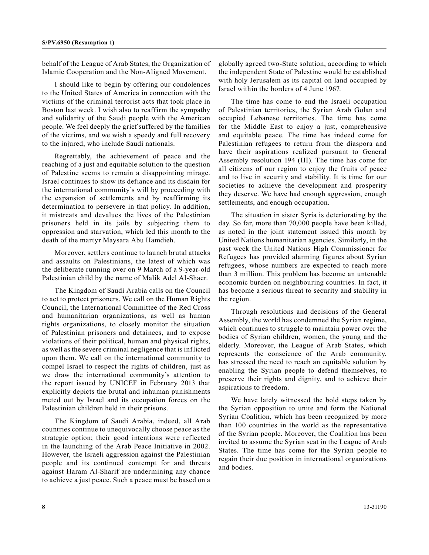behalf of the League of Arab States, the Organization of Islamic Cooperation and the Non-Aligned Movement.

I should like to begin by offering our condolences to the United States of America in connection with the victims of the criminal terrorist acts that took place in Boston last week. I wish also to reaffirm the sympathy and solidarity of the Saudi people with the American people. We feel deeply the grief suffered by the families of the victims, and we wish a speedy and full recovery to the injured, who include Saudi nationals.

Regrettably, the achievement of peace and the reaching of a just and equitable solution to the question of Palestine seems to remain a disappointing mirage. Israel continues to show its defiance and its disdain for the international community's will by proceeding with the expansion of settlements and by reaffirming its determination to persevere in that policy. In addition, it mistreats and devalues the lives of the Palestinian prisoners held in its jails by subjecting them to oppression and starvation, which led this month to the death of the martyr Maysara Abu Hamdieh.

Moreover, settlers continue to launch brutal attacks and assaults on Palestinians, the latest of which was the deliberate running over on 9 March of a 9-year-old Palestinian child by the name of Malik Adel Al-Shaer.

The Kingdom of Saudi Arabia calls on the Council to act to protect prisoners. We call on the Human Rights Council, the International Committee of the Red Cross and humanitarian organizations, as well as human rights organizations, to closely monitor the situation of Palestinian prisoners and detainees, and to expose violations of their political, human and physical rights, as well as the severe criminal negligence that is inflicted upon them. We call on the international community to compel Israel to respect the rights of children, just as we draw the international community's attention to the report issued by UNICEF in February 2013 that explicitly depicts the brutal and inhuman punishments meted out by Israel and its occupation forces on the Palestinian children held in their prisons.

The Kingdom of Saudi Arabia, indeed, all Arab countries continue to unequivocally choose peace as the strategic option; their good intentions were reflected in the launching of the Arab Peace Initiative in 2002. However, the Israeli aggression against the Palestinian people and its continued contempt for and threats against Haram Al-Sharif are undermining any chance to achieve a just peace. Such a peace must be based on a globally agreed two-State solution, according to which the independent State of Palestine would be established with holy Jerusalem as its capital on land occupied by Israel within the borders of 4 June 1967.

The time has come to end the Israeli occupation of Palestinian territories, the Syrian Arab Golan and occupied Lebanese territories. The time has come for the Middle East to enjoy a just, comprehensive and equitable peace. The time has indeed come for Palestinian refugees to return from the diaspora and have their aspirations realized pursuant to General Assembly resolution 194 (III). The time has come for all citizens of our region to enjoy the fruits of peace and to live in security and stability. It is time for our societies to achieve the development and prosperity they deserve. We have had enough aggression, enough settlements, and enough occupation.

The situation in sister Syria is deteriorating by the day. So far, more than 70,000 people have been killed, as noted in the joint statement issued this month by United Nations humanitarian agencies. Similarly, in the past week the United Nations High Commissioner for Refugees has provided alarming figures about Syrian refugees, whose numbers are expected to reach more than 3 million. This problem has become an untenable economic burden on neighbouring countries. In fact, it has become a serious threat to security and stability in the region.

Through resolutions and decisions of the General Assembly, the world has condemned the Syrian regime, which continues to struggle to maintain power over the bodies of Syrian children, women, the young and the elderly. Moreover, the League of Arab States, which represents the conscience of the Arab community, has stressed the need to reach an equitable solution by enabling the Syrian people to defend themselves, to preserve their rights and dignity, and to achieve their aspirations to freedom.

We have lately witnessed the bold steps taken by the Syrian opposition to unite and form the National Syrian Coalition, which has been recognized by more than 100 countries in the world as the representative of the Syrian people. Moreover, the Coalition has been invited to assume the Syrian seat in the League of Arab States. The time has come for the Syrian people to regain their due position in international organizations and bodies.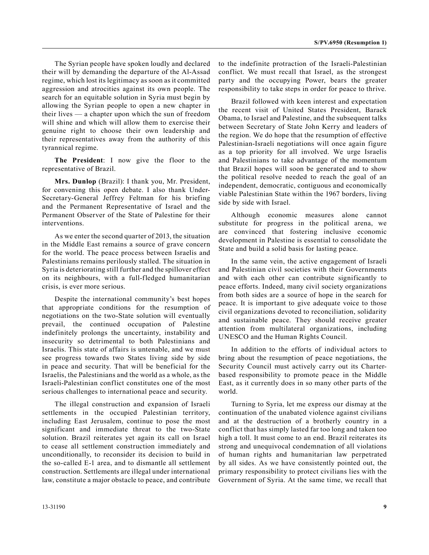The Syrian people have spoken loudly and declared their will by demanding the departure of the Al-Assad regime, which lost its legitimacy as soon as it committed aggression and atrocities against its own people. The search for an equitable solution in Syria must begin by allowing the Syrian people to open a new chapter in their lives — a chapter upon which the sun of freedom will shine and which will allow them to exercise their genuine right to choose their own leadership and their representatives away from the authority of this tyrannical regime.

**The President**: I now give the floor to the representative of Brazil.

**Mrs. Dunlop** (Brazil): I thank you, Mr. President, for convening this open debate. I also thank Under-Secretary-General Jeffrey Feltman for his briefing and the Permanent Representative of Israel and the Permanent Observer of the State of Palestine for their interventions.

As we enter the second quarter of 2013, the situation in the Middle East remains a source of grave concern for the world. The peace process between Israelis and Palestinians remains perilously stalled. The situation in Syria is deteriorating still further and the spillover effect on its neighbours, with a full-fledged humanitarian crisis, is ever more serious.

Despite the international community's best hopes that appropriate conditions for the resumption of negotiations on the two-State solution will eventually prevail, the continued occupation of Palestine indefinitely prolongs the uncertainty, instability and insecurity so detrimental to both Palestinians and Israelis. This state of affairs is untenable, and we must see progress towards two States living side by side in peace and security. That will be beneficial for the Israelis, the Palestinians and the world as a whole, as the Israeli-Palestinian conflict constitutes one of the most serious challenges to international peace and security.

The illegal construction and expansion of Israeli settlements in the occupied Palestinian territory, including East Jerusalem, continue to pose the most significant and immediate threat to the two-State solution. Brazil reiterates yet again its call on Israel to cease all settlement construction immediately and unconditionally, to reconsider its decision to build in the so-called E-1 area, and to dismantle all settlement construction. Settlements are illegal under international law, constitute a major obstacle to peace, and contribute

to the indefinite protraction of the Israeli-Palestinian conflict. We must recall that Israel, as the strongest party and the occupying Power, bears the greater responsibility to take steps in order for peace to thrive.

Brazil followed with keen interest and expectation the recent visit of United States President, Barack Obama, to Israel and Palestine, and the subsequent talks between Secretary of State John Kerry and leaders of the region. We do hope that the resumption of effective Palestinian-Israeli negotiations will once again figure as a top priority for all involved. We urge Israelis and Palestinians to take advantage of the momentum that Brazil hopes will soon be generated and to show the political resolve needed to reach the goal of an independent, democratic, contiguous and economically viable Palestinian State within the 1967 borders, living side by side with Israel.

Although economic measures alone cannot substitute for progress in the political arena, we are convinced that fostering inclusive economic development in Palestine is essential to consolidate the State and build a solid basis for lasting peace.

In the same vein, the active engagement of Israeli and Palestinian civil societies with their Governments and with each other can contribute significantly to peace efforts. Indeed, many civil society organizations from both sides are a source of hope in the search for peace. It is important to give adequate voice to those civil organizations devoted to reconciliation, solidarity and sustainable peace. They should receive greater attention from multilateral organizations, including UNESCO and the Human Rights Council.

In addition to the efforts of individual actors to bring about the resumption of peace negotiations, the Security Council must actively carry out its Charterbased responsibility to promote peace in the Middle East, as it currently does in so many other parts of the world.

Turning to Syria, let me express our dismay at the continuation of the unabated violence against civilians and at the destruction of a brotherly country in a conflict that has simply lasted far too long and taken too high a toll. It must come to an end. Brazil reiterates its strong and unequivocal condemnation of all violations of human rights and humanitarian law perpetrated by all sides. As we have consistently pointed out, the primary responsibility to protect civilians lies with the Government of Syria. At the same time, we recall that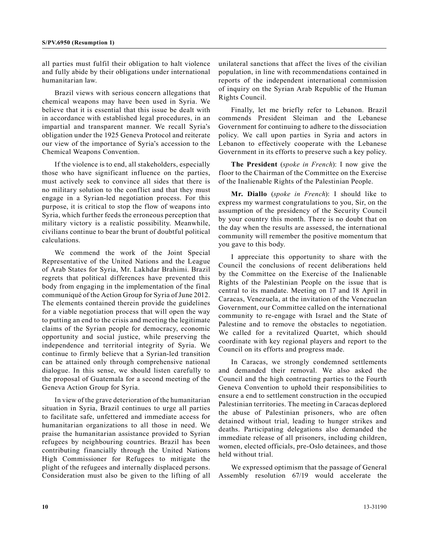all parties must fulfil their obligation to halt violence and fully abide by their obligations under international humanitarian law.

Brazil views with serious concern allegations that chemical weapons may have been used in Syria. We believe that it is essential that this issue be dealt with in accordance with established legal procedures, in an impartial and transparent manner. We recall Syria's obligation under the 1925 Geneva Protocol and reiterate our view of the importance of Syria's accession to the Chemical Weapons Convention.

If the violence is to end, all stakeholders, especially those who have significant influence on the parties, must actively seek to convince all sides that there is no military solution to the conflict and that they must engage in a Syrian-led negotiation process. For this purpose, it is critical to stop the flow of weapons into Syria, which further feeds the erroneous perception that military victory is a realistic possibility. Meanwhile, civilians continue to bear the brunt of doubtful political calculations.

We commend the work of the Joint Special Representative of the United Nations and the League of Arab States for Syria, Mr. Lakhdar Brahimi. Brazil regrets that political differences have prevented this body from engaging in the implementation of the final communiqué of the Action Group for Syria of June 2012. The elements contained therein provide the guidelines for a viable negotiation process that will open the way to putting an end to the crisis and meeting the legitimate claims of the Syrian people for democracy, economic opportunity and social justice, while preserving the independence and territorial integrity of Syria. We continue to firmly believe that a Syrian-led transition can be attained only through comprehensive national dialogue. In this sense, we should listen carefully to the proposal of Guatemala for a second meeting of the Geneva Action Group for Syria.

In view of the grave deterioration of the humanitarian situation in Syria, Brazil continues to urge all parties to facilitate safe, unfettered and immediate access for humanitarian organizations to all those in need. We praise the humanitarian assistance provided to Syrian refugees by neighbouring countries. Brazil has been contributing financially through the United Nations High Commissioner for Refugees to mitigate the plight of the refugees and internally displaced persons. Consideration must also be given to the lifting of all

unilateral sanctions that affect the lives of the civilian population, in line with recommendations contained in reports of the independent international commission of inquiry on the Syrian Arab Republic of the Human Rights Council.

Finally, let me briefly refer to Lebanon. Brazil commends President Sleiman and the Lebanese Government for continuing to adhere to the dissociation policy. We call upon parties in Syria and actors in Lebanon to effectively cooperate with the Lebanese Government in its efforts to preserve such a key policy.

**The President** (*spoke in French*): I now give the floor to the Chairman of the Committee on the Exercise of the Inalienable Rights of the Palestinian People.

**Mr. Diallo** (*spoke in French*): I should like to express my warmest congratulations to you, Sir, on the assumption of the presidency of the Security Council by your country this month. There is no doubt that on the day when the results are assessed, the international community will remember the positive momentum that you gave to this body.

I appreciate this opportunity to share with the Council the conclusions of recent deliberations held by the Committee on the Exercise of the Inalienable Rights of the Palestinian People on the issue that is central to its mandate. Meeting on 17 and 18 April in Caracas, Venezuela, at the invitation of the Venezuelan Government, our Committee called on the international community to re-engage with Israel and the State of Palestine and to remove the obstacles to negotiation. We called for a revitalized Quartet, which should coordinate with key regional players and report to the Council on its efforts and progress made.

In Caracas, we strongly condemned settlements and demanded their removal. We also asked the Council and the high contracting parties to the Fourth Geneva Convention to uphold their responsibilities to ensure a end to settlement construction in the occupied Palestinian territories. The meeting in Caracas deplored the abuse of Palestinian prisoners, who are often detained without trial, leading to hunger strikes and deaths. Participating delegations also demanded the immediate release of all prisoners, including children, women, elected officials, pre-Oslo detainees, and those held without trial.

We expressed optimism that the passage of General Assembly resolution 67/19 would accelerate the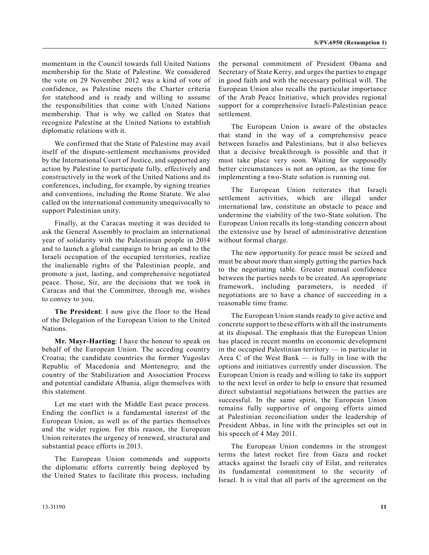momentum in the Council towards full United Nations membership for the State of Palestine. We considered the vote on 29 November 2012 was a kind of vote of confidence, as Palestine meets the Charter criteria for statehood and is ready and willing to assume the responsibilities that come with United Nations membership. That is why we called on States that recognize Palestine at the United Nations to establish diplomatic relations with it.

We confirmed that the State of Palestine may avail itself of the dispute-settlement mechanisms provided by the International Court of Justice, and supported any action by Palestine to participate fully, effectively and constructively in the work of the United Nations and its conferences, including, for example, by signing treaties and conventions, including the Rome Statute. We also called on the international community unequivocally to support Palestinian unity.

Finally, at the Caracas meeting it was decided to ask the General Assembly to proclaim an international year of solidarity with the Palestinian people in 2014 and to launch a global campaign to bring an end to the Israeli occupation of the occupied territories, realize the inalienable rights of the Palestinian people, and promote a just, lasting, and comprehensive negotiated peace. Those, Sir, are the decisions that we took in Caracas and that the Committee, through me, wishes to convey to you.

**The President**: I now give the floor to the Head of the Delegation of the European Union to the United Nations.

**Mr. Mayr-Harting**: I have the honour to speak on behalf of the European Union. The acceding country Croatia; the candidate countries the former Yugoslav Republic of Macedonia and Montenegro; and the country of the Stabilization and Association Process and potential candidate Albania, align themselves with this statement.

Let me start with the Middle East peace process. Ending the conflict is a fundamental interest of the European Union, as well as of the parties themselves and the wider region. For this reason, the European Union reiterates the urgency of renewed, structural and substantial peace efforts in 2013.

The European Union commends and supports the diplomatic efforts currently being deployed by the United States to facilitate this process, including the personal commitment of President Obama and Secretary of State Kerry, and urges the parties to engage in good faith and with the necessary political will. The European Union also recalls the particular importance of the Arab Peace Initiative, which provides regional support for a comprehensive Israeli-Palestinian peace settlement.

The European Union is aware of the obstacles that stand in the way of a comprehensive peace between Israelis and Palestinians, but it also believes that a decisive breakthrough is possible and that it must take place very soon. Waiting for supposedly better circumstances is not an option, as the time for implementing a two-State solution is running out.

The European Union reiterates that Israeli settlement activities, which are illegal under international law, constitute an obstacle to peace and undermine the viability of the two-State solution. The European Union recalls its long-standing concern about the extensive use by Israel of administrative detention without formal charge.

The new opportunity for peace must be seized and must be about more than simply getting the parties back to the negotiating table. Greater mutual confidence between the parties needs to be created. An appropriate framework, including parameters, is needed if negotiations are to have a chance of succeeding in a reasonable time frame.

The European Union stands ready to give active and concrete support to these efforts with all the instruments at its disposal. The emphasis that the European Union has placed in recent months on economic development in the occupied Palestinian territory — in particular in Area C of the West Bank — is fully in line with the options and initiatives currently under discussion. The European Union is ready and willing to take its support to the next level in order to help to ensure that resumed direct substantial negotiations between the parties are successful. In the same spirit, the European Union remains fully supportive of ongoing efforts aimed at Palestinian reconciliation under the leadership of President Abbas, in line with the principles set out in his speech of 4 May 2011.

The European Union condemns in the strongest terms the latest rocket fire from Gaza and rocket attacks against the Israeli city of Eilat, and reiterates its fundamental commitment to the security of Israel. It is vital that all parts of the agreement on the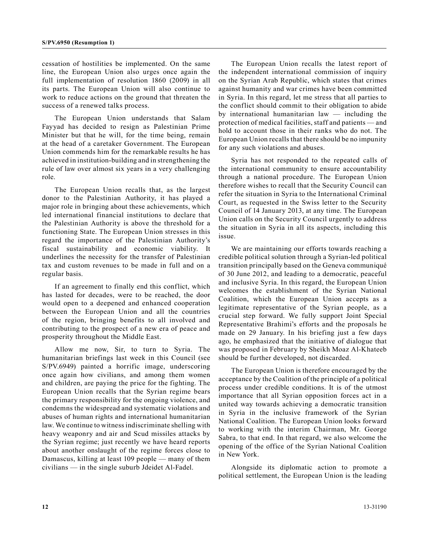cessation of hostilities be implemented. On the same line, the European Union also urges once again the full implementation of resolution 1860 (2009) in all its parts. The European Union will also continue to work to reduce actions on the ground that threaten the success of a renewed talks process.

The European Union understands that Salam Fayyad has decided to resign as Palestinian Prime Minister but that he will, for the time being, remain at the head of a caretaker Government. The European Union commends him for the remarkable results he has achieved in institution-building and in strengthening the rule of law over almost six years in a very challenging role.

The European Union recalls that, as the largest donor to the Palestinian Authority, it has played a major role in bringing about these achievements, which led international financial institutions to declare that the Palestinian Authority is above the threshold for a functioning State. The European Union stresses in this regard the importance of the Palestinian Authority's fiscal sustainability and economic viability. It underlines the necessity for the transfer of Palestinian tax and custom revenues to be made in full and on a regular basis.

If an agreement to finally end this conflict, which has lasted for decades, were to be reached, the door would open to a deepened and enhanced cooperation between the European Union and all the countries of the region, bringing benefits to all involved and contributing to the prospect of a new era of peace and prosperity throughout the Middle East.

Allow me now, Sir, to turn to Syria. The humanitarian briefings last week in this Council (see S/PV.6949) painted a horrific image, underscoring once again how civilians, and among them women and children, are paying the price for the fighting. The European Union recalls that the Syrian regime bears the primary responsibility for the ongoing violence, and condemns the widespread and systematic violations and abuses of human rights and international humanitarian law. We continue to witness indiscriminate shelling with heavy weaponry and air and Scud missiles attacks by the Syrian regime; just recently we have heard reports about another onslaught of the regime forces close to Damascus, killing at least 109 people — many of them civilians — in the single suburb Jdeidet Al-Fadel.

The European Union recalls the latest report of the independent international commission of inquiry on the Syrian Arab Republic, which states that crimes against humanity and war crimes have been committed in Syria. In this regard, let me stress that all parties to the conflict should commit to their obligation to abide by international humanitarian law — including the protection of medical facilities, staff and patients — and hold to account those in their ranks who do not. The European Union recalls that there should be no impunity for any such violations and abuses.

Syria has not responded to the repeated calls of the international community to ensure accountability through a national procedure. The European Union therefore wishes to recall that the Security Council can refer the situation in Syria to the International Criminal Court, as requested in the Swiss letter to the Security Council of 14 January 2013, at any time. The European Union calls on the Security Council urgently to address the situation in Syria in all its aspects, including this issue.

We are maintaining our efforts towards reaching a credible political solution through a Syrian-led political transition principally based on the Geneva communiqué of 30 June 2012, and leading to a democratic, peaceful and inclusive Syria. In this regard, the European Union welcomes the establishment of the Syrian National Coalition, which the European Union accepts as a legitimate representative of the Syrian people, as a crucial step forward. We fully support Joint Special Representative Brahimi's efforts and the proposals he made on 29 January. In his briefing just a few days ago, he emphasized that the initiative of dialogue that was proposed in February by Sheikh Moaz Al-Khateeb should be further developed, not discarded.

The European Union is therefore encouraged by the acceptance by the Coalition of the principle of a political process under credible conditions. It is of the utmost importance that all Syrian opposition forces act in a united way towards achieving a democratic transition in Syria in the inclusive framework of the Syrian National Coalition. The European Union looks forward to working with the interim Chairman, Mr. George Sabra, to that end. In that regard, we also welcome the opening of the office of the Syrian National Coalition in New York.

Alongside its diplomatic action to promote a political settlement, the European Union is the leading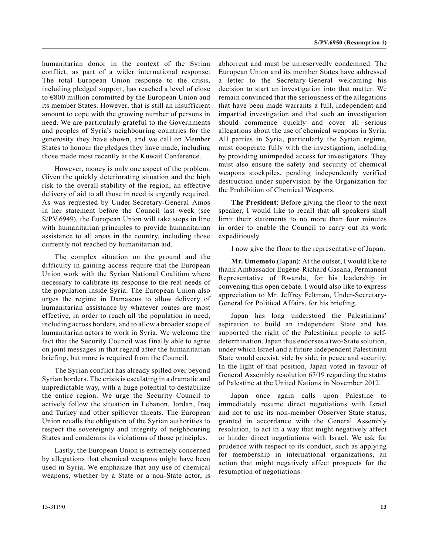humanitarian donor in the context of the Syrian conflict, as part of a wider international response. The total European Union response to the crisis, including pledged support, has reached a level of close to €800 million committed by the European Union and its member States. However, that is still an insufficient amount to cope with the growing number of persons in need. We are particularly grateful to the Governments and peoples of Syria's neighbouring countries for the generosity they have shown, and we call on Member States to honour the pledges they have made, including those made most recently at the Kuwait Conference.

However, money is only one aspect of the problem. Given the quickly deteriorating situation and the high risk to the overall stability of the region, an effective delivery of aid to all those in need is urgently required. As was requested by Under-Secretary-General Amos in her statement before the Council last week (see S/PV.6949), the European Union will take steps in line with humanitarian principles to provide humanitarian assistance to all areas in the country, including those currently not reached by humanitarian aid.

The complex situation on the ground and the difficulty in gaining access require that the European Union work with the Syrian National Coalition where necessary to calibrate its response to the real needs of the population inside Syria. The European Union also urges the regime in Damascus to allow delivery of humanitarian assistance by whatever routes are most effective, in order to reach all the population in need, including across borders, and to allow a broader scope of humanitarian actors to work in Syria. We welcome the fact that the Security Council was finally able to agree on joint messages in that regard after the humanitarian briefing, but more is required from the Council.

The Syrian conflict has already spilled over beyond Syrian borders. The crisis is escalating in a dramatic and unpredictable way, with a huge potential to destabilize the entire region. We urge the Security Council to actively follow the situation in Lebanon, Jordan, Iraq and Turkey and other spillover threats. The European Union recalls the obligation of the Syrian authorities to respect the sovereignty and integrity of neighbouring States and condemns its violations of those principles.

Lastly, the European Union is extremely concerned by allegations that chemical weapons might have been used in Syria. We emphasize that any use of chemical weapons, whether by a State or a non-State actor, is

abhorrent and must be unreservedly condemned. The European Union and its member States have addressed a letter to the Secretary-General welcoming his decision to start an investigation into that matter. We remain convinced that the seriousness of the allegations that have been made warrants a full, independent and impartial investigation and that such an investigation should commence quickly and cover all serious allegations about the use of chemical weapons in Syria. All parties in Syria, particularly the Syrian regime, must cooperate fully with the investigation, including by providing unimpeded access for investigators. They must also ensure the safety and security of chemical weapons stockpiles, pending independently verified destruction under supervision by the Organization for the Prohibition of Chemical Weapons.

**The President**: Before giving the floor to the next speaker, I would like to recall that all speakers shall limit their statements to no more than four minutes in order to enable the Council to carry out its work expeditiously.

I now give the floor to the representative of Japan.

**Mr. Umemoto** (Japan): At the outset, I would like to thank Ambassador Eugène-Richard Gasana, Permanent Representative of Rwanda, for his leadership in convening this open debate. I would also like to express appreciation to Mr. Jeffrey Feltman, Under-Secretary-General for Political Affairs, for his briefing.

Japan has long understood the Palestinians' aspiration to build an independent State and has supported the right of the Palestinian people to selfdetermination. Japan thus endorses a two-State solution, under which Israel and a future independent Palestinian State would coexist, side by side, in peace and security. In the light of that position, Japan voted in favour of General Assembly resolution 67/19 regarding the status of Palestine at the United Nations in November 2012.

Japan once again calls upon Palestine to immediately resume direct negotiations with Israel and not to use its non-member Observer State status, granted in accordance with the General Assembly resolution, to act in a way that might negatively affect or hinder direct negotiations with Israel. We ask for prudence with respect to its conduct, such as applying for membership in international organizations, an action that might negatively affect prospects for the resumption of negotiations.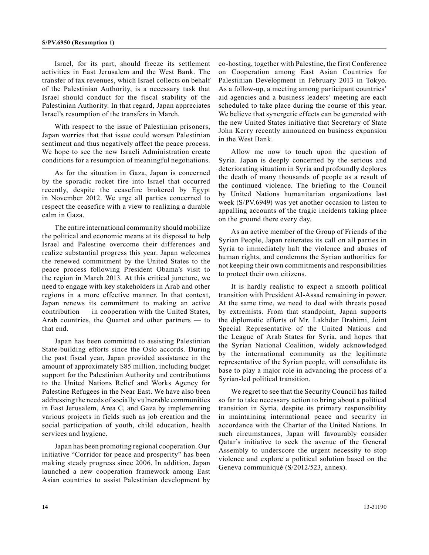Israel, for its part, should freeze its settlement activities in East Jerusalem and the West Bank. The transfer of tax revenues, which Israel collects on behalf of the Palestinian Authority, is a necessary task that Israel should conduct for the fiscal stability of the Palestinian Authority. In that regard, Japan appreciates Israel's resumption of the transfers in March.

With respect to the issue of Palestinian prisoners, Japan worries that that issue could worsen Palestinian sentiment and thus negatively affect the peace process. We hope to see the new Israeli Administration create conditions for a resumption of meaningful negotiations.

As for the situation in Gaza, Japan is concerned by the sporadic rocket fire into Israel that occurred recently, despite the ceasefire brokered by Egypt in November 2012. We urge all parties concerned to respect the ceasefire with a view to realizing a durable calm in Gaza.

The entire international community should mobilize the political and economic means at its disposal to help Israel and Palestine overcome their differences and realize substantial progress this year. Japan welcomes the renewed commitment by the United States to the peace process following President Obama's visit to the region in March 2013. At this critical juncture, we need to engage with key stakeholders in Arab and other regions in a more effective manner. In that context, Japan renews its commitment to making an active contribution — in cooperation with the United States, Arab countries, the Quartet and other partners — to that end.

Japan has been committed to assisting Palestinian State-building efforts since the Oslo accords. During the past fiscal year, Japan provided assistance in the amount of approximately \$85 million, including budget support for the Palestinian Authority and contributions to the United Nations Relief and Works Agency for Palestine Refugees in the Near East. We have also been addressing the needs of socially vulnerable communities in East Jerusalem, Area C, and Gaza by implementing various projects in fields such as job creation and the social participation of youth, child education, health services and hygiene.

Japan has been promoting regional cooperation. Our initiative "Corridor for peace and prosperity" has been making steady progress since 2006. In addition, Japan launched a new cooperation framework among East Asian countries to assist Palestinian development by

co-hosting, together with Palestine, the first Conference on Cooperation among East Asian Countries for Palestinian Development in February 2013 in Tokyo. As a follow-up, a meeting among participant countries' aid agencies and a business leaders' meeting are each scheduled to take place during the course of this year. We believe that synergetic effects can be generated with the new United States initiative that Secretary of State John Kerry recently announced on business expansion in the West Bank.

Allow me now to touch upon the question of Syria. Japan is deeply concerned by the serious and deteriorating situation in Syria and profoundly deplores the death of many thousands of people as a result of the continued violence. The briefing to the Council by United Nations humanitarian organizations last week (S/PV.6949) was yet another occasion to listen to appalling accounts of the tragic incidents taking place on the ground there every day.

As an active member of the Group of Friends of the Syrian People, Japan reiterates its call on all parties in Syria to immediately halt the violence and abuses of human rights, and condemns the Syrian authorities for not keeping their own commitments and responsibilities to protect their own citizens.

It is hardly realistic to expect a smooth political transition with President Al-Assad remaining in power. At the same time, we need to deal with threats posed by extremists. From that standpoint, Japan supports the diplomatic efforts of Mr. Lakhdar Brahimi, Joint Special Representative of the United Nations and the League of Arab States for Syria, and hopes that the Syrian National Coalition, widely acknowledged by the international community as the legitimate representative of the Syrian people, will consolidate its base to play a major role in advancing the process of a Syrian-led political transition.

We regret to see that the Security Council has failed so far to take necessary action to bring about a political transition in Syria, despite its primary responsibility in maintaining international peace and security in accordance with the Charter of the United Nations. In such circumstances, Japan will favourably consider Qatar's initiative to seek the avenue of the General Assembly to underscore the urgent necessity to stop violence and explore a political solution based on the Geneva communiqué (S/2012/523, annex).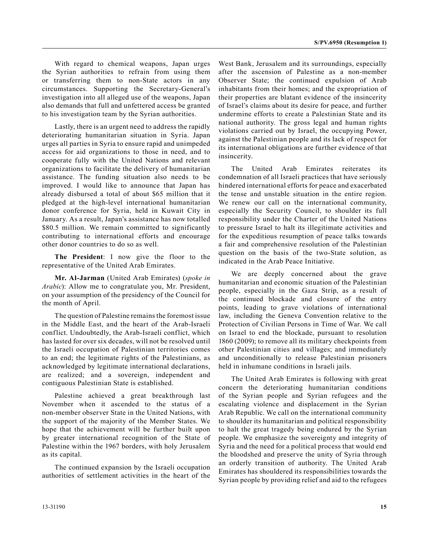With regard to chemical weapons, Japan urges the Syrian authorities to refrain from using them or transferring them to non-State actors in any circumstances. Supporting the Secretary-General's investigation into all alleged use of the weapons, Japan also demands that full and unfettered access be granted to his investigation team by the Syrian authorities.

Lastly, there is an urgent need to address the rapidly deteriorating humanitarian situation in Syria. Japan urges all parties in Syria to ensure rapid and unimpeded access for aid organizations to those in need, and to cooperate fully with the United Nations and relevant organizations to facilitate the delivery of humanitarian assistance. The funding situation also needs to be improved. I would like to announce that Japan has already disbursed a total of about \$65 million that it pledged at the high-level international humanitarian donor conference for Syria, held in Kuwait City in January. As a result, Japan's assistance has now totalled \$80.5 million. We remain committed to significantly contributing to international efforts and encourage other donor countries to do so as well.

**The President**: I now give the floor to the representative of the United Arab Emirates.

**Mr. Al-Jarman** (United Arab Emirates) (*spoke in Arabic*): Allow me to congratulate you, Mr. President, on your assumption of the presidency of the Council for the month of April.

The question of Palestine remains the foremost issue in the Middle East, and the heart of the Arab-Israeli conflict. Undoubtedly, the Arab-Israeli conflict, which has lasted for over six decades, will not be resolved until the Israeli occupation of Palestinian territories comes to an end; the legitimate rights of the Palestinians, as acknowledged by legitimate international declarations, are realized; and a sovereign, independent and contiguous Palestinian State is established.

Palestine achieved a great breakthrough last November when it ascended to the status of a non-member observer State in the United Nations, with the support of the majority of the Member States. We hope that the achievement will be further built upon by greater international recognition of the State of Palestine within the 1967 borders, with holy Jerusalem as its capital.

The continued expansion by the Israeli occupation authorities of settlement activities in the heart of the West Bank, Jerusalem and its surroundings, especially after the ascension of Palestine as a non-member Observer State; the continued expulsion of Arab inhabitants from their homes; and the expropriation of their properties are blatant evidence of the insincerity of Israel's claims about its desire for peace, and further undermine efforts to create a Palestinian State and its national authority. The gross legal and human rights violations carried out by Israel, the occupying Power, against the Palestinian people and its lack of respect for its international obligations are further evidence of that insincerity.

The United Arab Emirates reiterates its condemnation of all Israeli practices that have seriously hindered international efforts for peace and exacerbated the tense and unstable situation in the entire region. We renew our call on the international community, especially the Security Council, to shoulder its full responsibility under the Charter of the United Nations to pressure Israel to halt its illegitimate activities and for the expeditious resumption of peace talks towards a fair and comprehensive resolution of the Palestinian question on the basis of the two-State solution, as indicated in the Arab Peace Initiative.

We are deeply concerned about the grave humanitarian and economic situation of the Palestinian people, especially in the Gaza Strip, as a result of the continued blockade and closure of the entry points, leading to grave violations of international law, including the Geneva Convention relative to the Protection of Civilian Persons in Time of War. We call on Israel to end the blockade, pursuant to resolution 1860 (2009); to remove all its military checkpoints from other Palestinian cities and villages; and immediately and unconditionally to release Palestinian prisoners held in inhumane conditions in Israeli jails.

The United Arab Emirates is following with great concern the deteriorating humanitarian conditions of the Syrian people and Syrian refugees and the escalating violence and displacement in the Syrian Arab Republic. We call on the international community to shoulder its humanitarian and political responsibility to halt the great tragedy being endured by the Syrian people. We emphasize the sovereignty and integrity of Syria and the need for a political process that would end the bloodshed and preserve the unity of Syria through an orderly transition of authority. The United Arab Emirates has shouldered its responsibilities towards the Syrian people by providing relief and aid to the refugees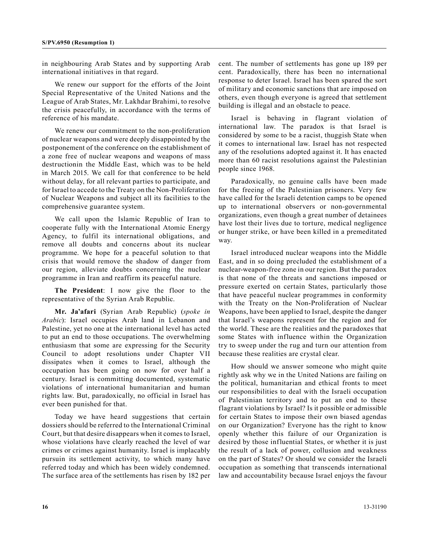in neighbouring Arab States and by supporting Arab international initiatives in that regard.

We renew our support for the efforts of the Joint Special Representative of the United Nations and the League of Arab States, Mr. Lakhdar Brahimi, to resolve the crisis peacefully, in accordance with the terms of reference of his mandate.

We renew our commitment to the non-proliferation of nuclear weapons and were deeply disappointed by the postponement of the conference on the establishment of a zone free of nuclear weapons and weapons of mass destructionin the Middle East, which was to be held in March 2015. We call for that conference to be held without delay, for all relevant parties to participate, and for Israel to accede to the Treaty on the Non-Proliferation of Nuclear Weapons and subject all its facilities to the comprehensive guarantee system.

We call upon the Islamic Republic of Iran to cooperate fully with the International Atomic Energy Agency, to fulfil its international obligations, and remove all doubts and concerns about its nuclear programme. We hope for a peaceful solution to that crisis that would remove the shadow of danger from our region, alleviate doubts concerning the nuclear programme in Iran and reaffirm its peaceful nature.

**The President**: I now give the floor to the representative of the Syrian Arab Republic.

**Mr. Ja'afari** (Syrian Arab Republic) (*spoke in Arabic*): Israel occupies Arab land in Lebanon and Palestine, yet no one at the international level has acted to put an end to those occupations. The overwhelming enthusiasm that some are expressing for the Security Council to adopt resolutions under Chapter VII dissipates when it comes to Israel, although the occupation has been going on now for over half a century. Israel is committing documented, systematic violations of international humanitarian and human rights law. But, paradoxically, no official in Israel has ever been punished for that.

Today we have heard suggestions that certain dossiers should be referred to the International Criminal Court, but that desire disappears when it comes to Israel, whose violations have clearly reached the level of war crimes or crimes against humanity. Israel is implacably pursuin its settlement activity, to which many have referred today and which has been widely condemned. The surface area of the settlements has risen by 182 per cent. The number of settlements has gone up 189 per cent. Paradoxically, there has been no international response to deter Israel. Israel has been spared the sort of military and economic sanctions that are imposed on others, even though everyone is agreed that settlement building is illegal and an obstacle to peace.

Israel is behaving in flagrant violation of international law. The paradox is that Israel is considered by some to be a racist, thuggish State when it comes to international law. Israel has not respected any of the resolutions adopted against it. It has enacted more than 60 racist resolutions against the Palestinian people since 1968.

Paradoxically, no genuine calls have been made for the freeing of the Palestinian prisoners. Very few have called for the Israeli detention camps to be opened up to international observers or non-governmental organizations, even though a great number of detainees have lost their lives due to torture, medical negligence or hunger strike, or have been killed in a premeditated way.

Israel introduced nuclear weapons into the Middle East, and in so doing precluded the establishment of a nuclear-weapon-free zone in our region. But the paradox is that none of the threats and sanctions imposed or pressure exerted on certain States, particularly those that have peaceful nuclear programmes in conformity with the Treaty on the Non-Proliferation of Nuclear Weapons, have been applied to Israel, despite the danger that Israel's weapons represent for the region and for the world. These are the realities and the paradoxes that some States with influence within the Organization try to sweep under the rug and turn our attention from because these realities are crystal clear.

How should we answer someone who might quite rightly ask why we in the United Nations are failing on the political, humanitarian and ethical fronts to meet our responsibilities to deal with the Israeli occupation of Palestinian territory and to put an end to these flagrant violations by Israel? Is it possible or admissible for certain States to impose their own biased agendas on our Organization? Everyone has the right to know openly whether this failure of our Organization is desired by those influential States, or whether it is just the result of a lack of power, collusion and weakness on the part of States? Or should we consider the Israeli occupation as something that transcends international law and accountability because Israel enjoys the favour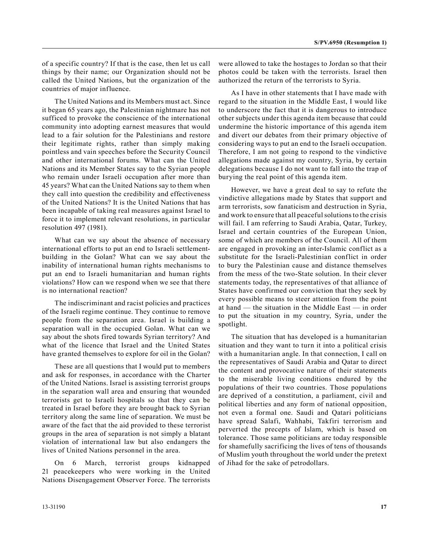of a specific country? If that is the case, then let us call things by their name; our Organization should not be called the United Nations, but the organization of the countries of major influence.

The United Nations and its Members must act. Since it began 65 years ago, the Palestinian nightmare has not sufficed to provoke the conscience of the international community into adopting earnest measures that would lead to a fair solution for the Palestinians and restore their legitimate rights, rather than simply making pointless and vain speeches before the Security Council and other international forums. What can the United Nations and its Member States say to the Syrian people who remain under Israeli occupation after more than 45 years? What can the United Nations say to them when they call into question the credibility and effectiveness of the United Nations? It is the United Nations that has been incapable of taking real measures against Israel to force it to implement relevant resolutions, in particular resolution 497 (1981).

What can we say about the absence of necessary international efforts to put an end to Israeli settlementbuilding in the Golan? What can we say about the inability of international human rights mechanisms to put an end to Israeli humanitarian and human rights violations? How can we respond when we see that there is no international reaction?

The indiscriminant and racist policies and practices of the Israeli regime continue. They continue to remove people from the separation area. Israel is building a separation wall in the occupied Golan. What can we say about the shots fired towards Syrian territory? And what of the licence that Israel and the United States have granted themselves to explore for oil in the Golan?

These are all questions that I would put to members and ask for responses, in accordance with the Charter of the United Nations. Israel is assisting terrorist groups in the separation wall area and ensuring that wounded terrorists get to Israeli hospitals so that they can be treated in Israel before they are brought back to Syrian territory along the same line of separation. We must be aware of the fact that the aid provided to these terrorist groups in the area of separation is not simply a blatant violation of international law but also endangers the lives of United Nations personnel in the area.

On 6 March, terrorist groups kidnapped 21 peacekeepers who were working in the United Nations Disengagement Observer Force. The terrorists were allowed to take the hostages to Jordan so that their photos could be taken with the terrorists. Israel then authorized the return of the terrorists to Syria.

As I have in other statements that I have made with regard to the situation in the Middle East, I would like to underscore the fact that it is dangerous to introduce other subjects under this agenda item because that could undermine the historic importance of this agenda item and divert our debates from their primary objective of considering ways to put an end to the Israeli occupation. Therefore, I am not going to respond to the vindictive allegations made against my country, Syria, by certain delegations because I do not want to fall into the trap of burying the real point of this agenda item.

However, we have a great deal to say to refute the vindictive allegations made by States that support and arm terrorists, sow fanaticism and destruction in Syria, and work to ensure that all peaceful solutions to the crisis will fail. I am referring to Saudi Arabia, Qatar, Turkey, Israel and certain countries of the European Union, some of which are members of the Council. All of them are engaged in provoking an inter-Islamic conflict as a substitute for the Israeli-Palestinian conflict in order to bury the Palestinian cause and distance themselves from the mess of the two-State solution. In their clever statements today, the representatives of that alliance of States have confirmed our conviction that they seek by every possible means to steer attention from the point at hand — the situation in the Middle East — in order to put the situation in my country, Syria, under the spotlight.

The situation that has developed is a humanitarian situation and they want to turn it into a political crisis with a humanitarian angle. In that connection, I call on the representatives of Saudi Arabia and Qatar to direct the content and provocative nature of their statements to the miserable living conditions endured by the populations of their two countries. Those populations are deprived of a constitution, a parliament, civil and political liberties and any form of national opposition, not even a formal one. Saudi and Qatari politicians have spread Salafi, Wahhabi, Takfiri terrorism and perverted the precepts of Islam, which is based on tolerance. Those same politicians are today responsible for shamefully sacrificing the lives of tens of thousands of Muslim youth throughout the world under the pretext of Jihad for the sake of petrodollars.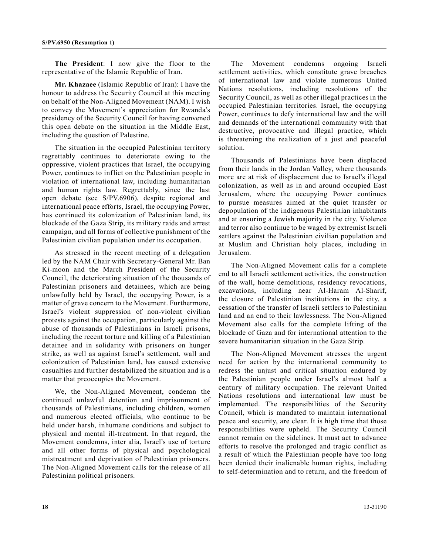**The President**: I now give the floor to the representative of the Islamic Republic of Iran.

**Mr. Khazaee** (Islamic Republic of Iran): I have the honour to address the Security Council at this meeting on behalf of the Non-Aligned Movement (NAM). I wish to convey the Movement's appreciation for Rwanda's presidency of the Security Council for having convened this open debate on the situation in the Middle East, including the question of Palestine.

The situation in the occupied Palestinian territory regrettably continues to deteriorate owing to the oppressive, violent practices that Israel, the occupying Power, continues to inflict on the Palestinian people in violation of international law, including humanitarian and human rights law. Regrettably, since the last open debate (see S/PV.6906), despite regional and international peace efforts, Israel, the occupying Power, has continued its colonization of Palestinian land, its blockade of the Gaza Strip, its military raids and arrest campaign, and all forms of collective punishment of the Palestinian civilian population under its occupation.

As stressed in the recent meeting of a delegation led by the NAM Chair with Secretary-General Mr. Ban Ki-moon and the March President of the Security Council, the deteriorating situation of the thousands of Palestinian prisoners and detainees, which are being unlawfully held by Israel, the occupying Power, is a matter of grave concern to the Movement. Furthermore, Israel's violent suppression of non-violent civilian protests against the occupation, particularly against the abuse of thousands of Palestinians in Israeli prisons, including the recent torture and killing of a Palestinian detainee and in solidarity with prisoners on hunger strike, as well as against Israel's settlement, wall and colonization of Palestinian land, has caused extensive casualties and further destabilized the situation and is a matter that preoccupies the Movement.

We, the Non-Aligned Movement, condemn the continued unlawful detention and imprisonment of thousands of Palestinians, including children, women and numerous elected officials, who continue to be held under harsh, inhumane conditions and subject to physical and mental ill-treatment. In that regard, the Movement condemns, inter alia, Israel's use of torture and all other forms of physical and psychological mistreatment and deprivation of Palestinian prisoners. The Non-Aligned Movement calls for the release of all Palestinian political prisoners.

The Movement condemns ongoing Israeli settlement activities, which constitute grave breaches of international law and violate numerous United Nations resolutions, including resolutions of the Security Council, as well as other illegal practices in the occupied Palestinian territories. Israel, the occupying Power, continues to defy international law and the will and demands of the international community with that destructive, provocative and illegal practice, which is threatening the realization of a just and peaceful solution.

Thousands of Palestinians have been displaced from their lands in the Jordan Valley, where thousands more are at risk of displacement due to Israel's illegal colonization, as well as in and around occupied East Jerusalem, where the occupying Power continues to pursue measures aimed at the quiet transfer or depopulation of the indigenous Palestinian inhabitants and at ensuring a Jewish majority in the city. Violence and terror also continue to be waged by extremist Israeli settlers against the Palestinian civilian population and at Muslim and Christian holy places, including in Jerusalem.

The Non-Aligned Movement calls for a complete end to all Israeli settlement activities, the construction of the wall, home demolitions, residency revocations, excavations, including near Al-Haram Al-Sharif, the closure of Palestinian institutions in the city, a cessation of the transfer of Israeli settlers to Palestinian land and an end to their lawlessness. The Non-Aligned Movement also calls for the complete lifting of the blockade of Gaza and for international attention to the severe humanitarian situation in the Gaza Strip.

The Non-Aligned Movement stresses the urgent need for action by the international community to redress the unjust and critical situation endured by the Palestinian people under Israel's almost half a century of military occupation. The relevant United Nations resolutions and international law must be implemented. The responsibilities of the Security Council, which is mandated to maintain international peace and security, are clear. It is high time that those responsibilities were upheld. The Security Council cannot remain on the sidelines. It must act to advance efforts to resolve the prolonged and tragic conflict as a result of which the Palestinian people have too long been denied their inalienable human rights, including to self-determination and to return, and the freedom of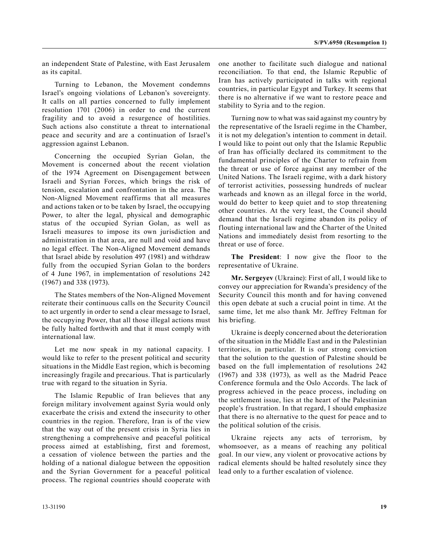an independent State of Palestine, with East Jerusalem as its capital.

Turning to Lebanon, the Movement condemns Israel's ongoing violations of Lebanon's sovereignty. It calls on all parties concerned to fully implement resolution 1701 (2006) in order to end the current fragility and to avoid a resurgence of hostilities. Such actions also constitute a threat to international peace and security and are a continuation of Israel's aggression against Lebanon.

Concerning the occupied Syrian Golan, the Movement is concerned about the recent violation of the 1974 Agreement on Disengagement between Israeli and Syrian Forces, which brings the risk of tension, escalation and confrontation in the area. The Non-Aligned Movement reaffirms that all measures and actions taken or to be taken by Israel, the occupying Power, to alter the legal, physical and demographic status of the occupied Syrian Golan, as well as Israeli measures to impose its own jurisdiction and administration in that area, are null and void and have no legal effect. The Non-Aligned Movement demands that Israel abide by resolution 497 (1981) and withdraw fully from the occupied Syrian Golan to the borders of 4 June 1967, in implementation of resolutions 242 (1967) and 338 (1973).

The States members of the Non-Aligned Movement reiterate their continuous calls on the Security Council to act urgently in order to send a clear message to Israel, the occupying Power, that all those illegal actions must be fully halted forthwith and that it must comply with international law.

Let me now speak in my national capacity. I would like to refer to the present political and security situations in the Middle East region, which is becoming increasingly fragile and precarious. That is particularly true with regard to the situation in Syria.

The Islamic Republic of Iran believes that any foreign military involvement against Syria would only exacerbate the crisis and extend the insecurity to other countries in the region. Therefore, Iran is of the view that the way out of the present crisis in Syria lies in strengthening a comprehensive and peaceful political process aimed at establishing, first and foremost, a cessation of violence between the parties and the holding of a national dialogue between the opposition and the Syrian Government for a peaceful political process. The regional countries should cooperate with

one another to facilitate such dialogue and national reconciliation. To that end, the Islamic Republic of Iran has actively participated in talks with regional countries, in particular Egypt and Turkey. It seems that there is no alternative if we want to restore peace and stability to Syria and to the region.

Turning now to what was said against my country by the representative of the Israeli regime in the Chamber, it is not my delegation's intention to comment in detail. I would like to point out only that the Islamic Republic of Iran has officially declared its commitment to the fundamental principles of the Charter to refrain from the threat or use of force against any member of the United Nations. The Israeli regime, with a dark history of terrorist activities, possessing hundreds of nuclear warheads and known as an illegal force in the world, would do better to keep quiet and to stop threatening other countries. At the very least, the Council should demand that the Israeli regime abandon its policy of flouting international law and the Charter of the United Nations and immediately desist from resorting to the threat or use of force.

**The President**: I now give the floor to the representative of Ukraine.

**Mr. Sergeyev** (Ukraine): First of all, I would like to convey our appreciation for Rwanda's presidency of the Security Council this month and for having convened this open debate at such a crucial point in time. At the same time, let me also thank Mr. Jeffrey Feltman for his briefing.

Ukraine is deeply concerned about the deterioration of the situation in the Middle East and in the Palestinian territories, in particular. It is our strong conviction that the solution to the question of Palestine should be based on the full implementation of resolutions 242 (1967) and 338 (1973), as well as the Madrid Peace Conference formula and the Oslo Accords. The lack of progress achieved in the peace process, including on the settlement issue, lies at the heart of the Palestinian people's frustration. In that regard, I should emphasize that there is no alternative to the quest for peace and to the political solution of the crisis.

Ukraine rejects any acts of terrorism, by whomsoever, as a means of reaching any political goal. In our view, any violent or provocative actions by radical elements should be halted resolutely since they lead only to a further escalation of violence.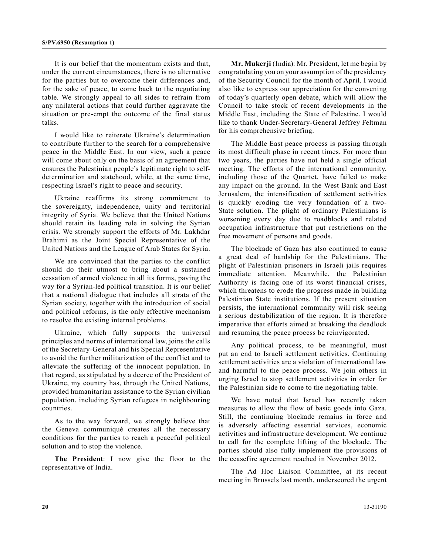It is our belief that the momentum exists and that, under the current circumstances, there is no alternative for the parties but to overcome their differences and, for the sake of peace, to come back to the negotiating table. We strongly appeal to all sides to refrain from any unilateral actions that could further aggravate the situation or pre-empt the outcome of the final status talks.

I would like to reiterate Ukraine's determination to contribute further to the search for a comprehensive peace in the Middle East. In our view, such a peace will come about only on the basis of an agreement that ensures the Palestinian people's legitimate right to selfdetermination and statehood, while, at the same time, respecting Israel's right to peace and security.

Ukraine reaffirms its strong commitment to the sovereignty, independence, unity and territorial integrity of Syria. We believe that the United Nations should retain its leading role in solving the Syrian crisis. We strongly support the efforts of Mr. Lakhdar Brahimi as the Joint Special Representative of the United Nations and the League of Arab States for Syria.

We are convinced that the parties to the conflict should do their utmost to bring about a sustained cessation of armed violence in all its forms, paving the way for a Syrian-led political transition. It is our belief that a national dialogue that includes all strata of the Syrian society, together with the introduction of social and political reforms, is the only effective mechanism to resolve the existing internal problems.

Ukraine, which fully supports the universal principles and norms of international law, joins the calls of the Secretary-General and his Special Representative to avoid the further militarization of the conflict and to alleviate the suffering of the innocent population. In that regard, as stipulated by a decree of the President of Ukraine, my country has, through the United Nations, provided humanitarian assistance to the Syrian civilian population, including Syrian refugees in neighbouring countries.

As to the way forward, we strongly believe that the Geneva communiqué creates all the necessary conditions for the parties to reach a peaceful political solution and to stop the violence.

**The President**: I now give the floor to the representative of India.

**Mr. Mukerji** (India): Mr. President, let me begin by congratulating you on your assumption of the presidency of the Security Council for the month of April. I would also like to express our appreciation for the convening of today's quarterly open debate, which will allow the Council to take stock of recent developments in the Middle East, including the State of Palestine. I would like to thank Under-Secretary-General Jeffrey Feltman for his comprehensive briefing.

The Middle East peace process is passing through its most difficult phase in recent times. For more than two years, the parties have not held a single official meeting. The efforts of the international community, including those of the Quartet, have failed to make any impact on the ground. In the West Bank and East Jerusalem, the intensification of settlement activities is quickly eroding the very foundation of a two-State solution. The plight of ordinary Palestinians is worsening every day due to roadblocks and related occupation infrastructure that put restrictions on the free movement of persons and goods.

The blockade of Gaza has also continued to cause a great deal of hardship for the Palestinians. The plight of Palestinian prisoners in Israeli jails requires immediate attention. Meanwhile, the Palestinian Authority is facing one of its worst financial crises, which threatens to erode the progress made in building Palestinian State institutions. If the present situation persists, the international community will risk seeing a serious destabilization of the region. It is therefore imperative that efforts aimed at breaking the deadlock and resuming the peace process be reinvigorated.

Any political process, to be meaningful, must put an end to Israeli settlement activities. Continuing settlement activities are a violation of international law and harmful to the peace process. We join others in urging Israel to stop settlement activities in order for the Palestinian side to come to the negotiating table.

We have noted that Israel has recently taken measures to allow the flow of basic goods into Gaza. Still, the continuing blockade remains in force and is adversely affecting essential services, economic activities and infrastructure development. We continue to call for the complete lifting of the blockade. The parties should also fully implement the provisions of the ceasefire agreement reached in November 2012.

The Ad Hoc Liaison Committee, at its recent meeting in Brussels last month, underscored the urgent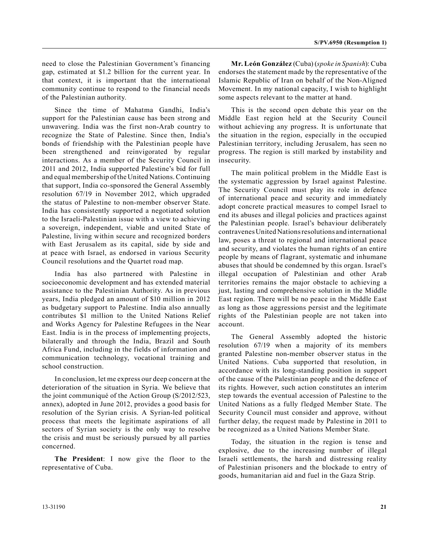need to close the Palestinian Government's financing gap, estimated at \$1.2 billion for the current year. In that context, it is important that the international community continue to respond to the financial needs of the Palestinian authority.

Since the time of Mahatma Gandhi, India's support for the Palestinian cause has been strong and unwavering. India was the first non-Arab country to recognize the State of Palestine. Since then, India's bonds of friendship with the Palestinian people have been strengthened and reinvigorated by regular interactions. As a member of the Security Council in 2011 and 2012, India supported Palestine's bid for full and equal membership of the United Nations. Continuing that support, India co-sponsored the General Assembly resolution 67/19 in November 2012, which upgraded the status of Palestine to non-member observer State. India has consistently supported a negotiated solution to the Israeli-Palestinian issue with a view to achieving a sovereign, independent, viable and united State of Palestine, living within secure and recognized borders with East Jerusalem as its capital, side by side and at peace with Israel, as endorsed in various Security Council resolutions and the Quartet road map.

India has also partnered with Palestine in socioeconomic development and has extended material assistance to the Palestinian Authority. As in previous years, India pledged an amount of \$10 million in 2012 as budgetary support to Palestine. India also annually contributes \$1 million to the United Nations Relief and Works Agency for Palestine Refugees in the Near East. India is in the process of implementing projects, bilaterally and through the India, Brazil and South Africa Fund, including in the fields of information and communication technology, vocational training and school construction.

In conclusion, let me express our deep concern at the deterioration of the situation in Syria. We believe that the joint communiqué of the Action Group (S/2012/523, annex), adopted in June 2012, provides a good basis for resolution of the Syrian crisis. A Syrian-led political process that meets the legitimate aspirations of all sectors of Syrian society is the only way to resolve the crisis and must be seriously pursued by all parties concerned.

**The President**: I now give the floor to the representative of Cuba.

**Mr. León González** (Cuba) (*spoke in Spanish*): Cuba endorses the statement made by the representative of the Islamic Republic of Iran on behalf of the Non-Aligned Movement. In my national capacity, I wish to highlight some aspects relevant to the matter at hand.

This is the second open debate this year on the Middle East region held at the Security Council without achieving any progress. It is unfortunate that the situation in the region, especially in the occupied Palestinian territory, including Jerusalem, has seen no progress. The region is still marked by instability and insecurity.

The main political problem in the Middle East is the systematic aggression by Israel against Palestine. The Security Council must play its role in defence of international peace and security and immediately adopt concrete practical measures to compel Israel to end its abuses and illegal policies and practices against the Palestinian people. Israel's behaviour deliberately contravenes United Nations resolutions and international law, poses a threat to regional and international peace and security, and violates the human rights of an entire people by means of flagrant, systematic and inhumane abuses that should be condemned by this organ. Israel's illegal occupation of Palestinian and other Arab territories remains the major obstacle to achieving a just, lasting and comprehensive solution in the Middle East region. There will be no peace in the Middle East as long as those aggressions persist and the legitimate rights of the Palestinian people are not taken into account.

The General Assembly adopted the historic resolution 67/19 when a majority of its members granted Palestine non-member observer status in the United Nations. Cuba supported that resolution, in accordance with its long-standing position in support of the cause of the Palestinian people and the defence of its rights. However, such action constitutes an interim step towards the eventual accession of Palestine to the United Nations as a fully fledged Member State. The Security Council must consider and approve, without further delay, the request made by Palestine in 2011 to be recognized as a United Nations Member State.

Today, the situation in the region is tense and explosive, due to the increasing number of illegal Israeli settlements, the harsh and distressing reality of Palestinian prisoners and the blockade to entry of goods, humanitarian aid and fuel in the Gaza Strip.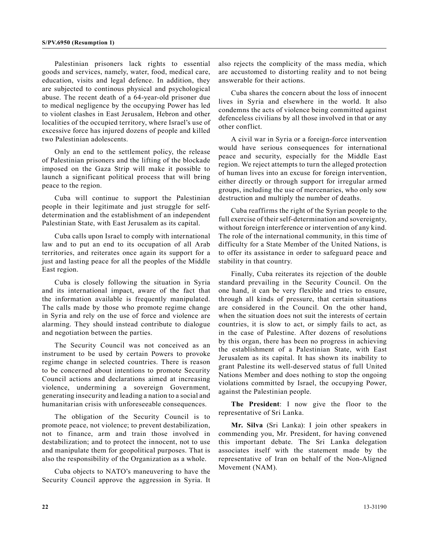Palestinian prisoners lack rights to essential goods and services, namely, water, food, medical care, education, visits and legal defence. In addition, they are subjected to continous physical and psychological abuse. The recent death of a 64-year-old prisoner due to medical negligence by the occupying Power has led to violent clashes in East Jerusalem, Hebron and other localities of the occupied territory, where Israel's use of excessive force has injured dozens of people and killed two Palestinian adolescents.

Only an end to the settlement policy, the release of Palestinian prisoners and the lifting of the blockade imposed on the Gaza Strip will make it possible to launch a significant political process that will bring peace to the region.

Cuba will continue to support the Palestinian people in their legitimate and just struggle for selfdetermination and the establishment of an independent Palestinian State, with East Jerusalem as its capital.

Cuba calls upon Israel to comply with international law and to put an end to its occupation of all Arab territories, and reiterates once again its support for a just and lasting peace for all the peoples of the Middle East region.

Cuba is closely following the situation in Syria and its international impact, aware of the fact that the information available is frequently manipulated. The calls made by those who promote regime change in Syria and rely on the use of force and violence are alarming. They should instead contribute to dialogue and negotiation between the parties.

The Security Council was not conceived as an instrument to be used by certain Powers to provoke regime change in selected countries. There is reason to be concerned about intentions to promote Security Council actions and declarations aimed at increasing violence, undermining a sovereign Government, generating insecurity and leading a nation to a social and humanitarian crisis with unforeseeable consequences.

The obligation of the Security Council is to promote peace, not violence; to prevent destabilization, not to finance, arm and train those involved in destabilization; and to protect the innocent, not to use and manipulate them for geopolitical purposes. That is also the responsibility of the Organization as a whole.

Cuba objects to NATO's maneuvering to have the Security Council approve the aggression in Syria. It also rejects the complicity of the mass media, which are accustomed to distorting reality and to not being answerable for their actions.

Cuba shares the concern about the loss of innocent lives in Syria and elsewhere in the world. It also condemns the acts of violence being committed against defenceless civilians by all those involved in that or any other conflict.

A civil war in Syria or a foreign-force intervention would have serious consequences for international peace and security, especially for the Middle East region. We reject attempts to turn the alleged protection of human lives into an excuse for foreign intervention, either directly or through support for irregular armed groups, including the use of mercenaries, who only sow destruction and multiply the number of deaths.

Cuba reaffirms the right of the Syrian people to the full exercise of their self-determination and sovereignty, without foreign interference or intervention of any kind. The role of the international community, in this time of difficulty for a State Member of the United Nations, is to offer its assistance in order to safeguard peace and stability in that country.

Finally, Cuba reiterates its rejection of the double standard prevailing in the Security Council. On the one hand, it can be very flexible and tries to ensure, through all kinds of pressure, that certain situations are considered in the Council. On the other hand, when the situation does not suit the interests of certain countries, it is slow to act, or simply fails to act, as in the case of Palestine. After dozens of resolutions by this organ, there has been no progress in achieving the establishment of a Palestinian State, with East Jerusalem as its capital. It has shown its inability to grant Palestine its well-deserved status of full United Nations Member and does nothing to stop the ongoing violations committed by Israel, the occupying Power, against the Palestinian people.

**The President**: I now give the floor to the representative of Sri Lanka.

**Mr. Silva** (Sri Lanka): I join other speakers in commending you, Mr. President, for having convened this important debate. The Sri Lanka delegation associates itself with the statement made by the representative of Iran on behalf of the Non-Aligned Movement (NAM).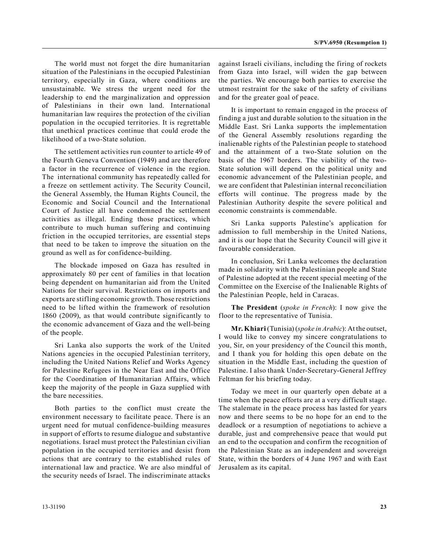The world must not forget the dire humanitarian situation of the Palestinians in the occupied Palestinian territory, especially in Gaza, where conditions are unsustainable. We stress the urgent need for the leadership to end the marginalization and oppression of Palestinians in their own land. International humanitarian law requires the protection of the civilian population in the occupied territories. It is regrettable that unethical practices continue that could erode the likelihood of a two-State solution.

The settlement activities run counter to article 49 of the Fourth Geneva Convention (1949) and are therefore a factor in the recurrence of violence in the region. The international community has repeatedly called for a freeze on settlement activity. The Security Council, the General Assembly, the Human Rights Council, the Economic and Social Council and the International Court of Justice all have condemned the settlement activities as illegal. Ending those practices, which contribute to much human suffering and continuing friction in the occupied territories, are essential steps that need to be taken to improve the situation on the ground as well as for confidence-building.

The blockade imposed on Gaza has resulted in approximately 80 per cent of families in that location being dependent on humanitarian aid from the United Nations for their survival. Restrictions on imports and exports are stifling economic growth. Those restrictions need to be lifted within the framework of resolution 1860 (2009), as that would contribute significantly to the economic advancement of Gaza and the well-being of the people.

Sri Lanka also supports the work of the United Nations agencies in the occupied Palestinian territory, including the United Nations Relief and Works Agency for Palestine Refugees in the Near East and the Office for the Coordination of Humanitarian Affairs, which keep the majority of the people in Gaza supplied with the bare necessities.

Both parties to the conflict must create the environment necessary to facilitate peace. There is an urgent need for mutual confidence-building measures in support of efforts to resume dialogue and substantive negotiations. Israel must protect the Palestinian civilian population in the occupied territories and desist from actions that are contrary to the established rules of international law and practice. We are also mindful of the security needs of Israel. The indiscriminate attacks

against Israeli civilians, including the firing of rockets from Gaza into Israel, will widen the gap between the parties. We encourage both parties to exercise the utmost restraint for the sake of the safety of civilians and for the greater goal of peace.

It is important to remain engaged in the process of finding a just and durable solution to the situation in the Middle East. Sri Lanka supports the implementation of the General Assembly resolutions regarding the inalienable rights of the Palestinian people to statehood and the attainment of a two-State solution on the basis of the 1967 borders. The viability of the two-State solution will depend on the political unity and economic advancement of the Palestinian people, and we are confident that Palestinian internal reconciliation efforts will continue. The progress made by the Palestinian Authority despite the severe political and economic constraints is commendable.

Sri Lanka supports Palestine's application for admission to full membership in the United Nations, and it is our hope that the Security Council will give it favourable consideration.

In conclusion, Sri Lanka welcomes the declaration made in solidarity with the Palestinian people and State of Palestine adopted at the recent special meeting of the Committee on the Exercise of the Inalienable Rights of the Palestinian People, held in Caracas.

**The President** (*spoke in French*): I now give the floor to the representative of Tunisia.

**Mr. Khiari** (Tunisia) (*spoke in Arabic*): At the outset, I would like to convey my sincere congratulations to you, Sir, on your presidency of the Council this month, and I thank you for holding this open debate on the situation in the Middle East, including the question of Palestine. I also thank Under-Secretary-General Jeffrey Feltman for his briefing today.

Today we meet in our quarterly open debate at a time when the peace efforts are at a very difficult stage. The stalemate in the peace process has lasted for years now and there seems to be no hope for an end to the deadlock or a resumption of negotiations to achieve a durable, just and comprehensive peace that would put an end to the occupation and confirm the recognition of the Palestinian State as an independent and sovereign State, within the borders of 4 June 1967 and with East Jerusalem as its capital.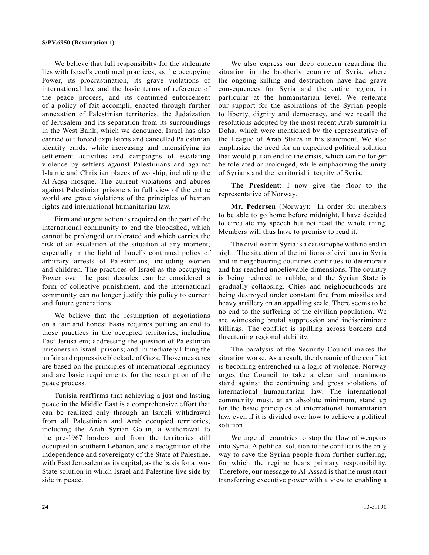We believe that full responsibilty for the stalemate lies with Israel's continued practices, as the occupying Power, its procrastination, its grave violations of international law and the basic terms of reference of the peace process, and its continued enforcement of a policy of fait accompli, enacted through further annexation of Palestinian territories, the Judaization of Jerusalem and its separation from its surroundings in the West Bank, which we denounce. Israel has also carried out forced expulsions and cancelled Palestinian identity cards, while increasing and intensifying its settlement activities and campaigns of escalating violence by settlers against Palestinians and against Islamic and Christian places of worship, including the Al-Aqsa mosque. The current violations and abuses against Palestinian prisoners in full view of the entire world are grave violations of the principles of human rights and international humanitarian law.

Firm and urgent action is required on the part of the international community to end the bloodshed, which cannot be prolonged or tolerated and which carries the risk of an escalation of the situation at any moment, especially in the light of Israel's continued policy of arbitrary arrests of Palestinians, including women and children. The practices of Israel as the occupying Power over the past decades can be considered a form of collective punishment, and the international community can no longer justify this policy to current and future generations.

We believe that the resumption of negotiations on a fair and honest basis requires putting an end to those practices in the occupied territories, including East Jerusalem; addressing the question of Palestinian prisoners in Israeli prisons; and immediately lifting the unfair and oppressive blockade of Gaza. Those measures are based on the principles of international legitimacy and are basic requirements for the resumption of the peace process.

Tunisia reaffirms that achieving a just and lasting peace in the Middle East is a comprehensive effort that can be realized only through an Israeli withdrawal from all Palestinian and Arab occupied territories, including the Arab Syrian Golan, a withdrawal to the pre-1967 borders and from the territories still occupied in southern Lebanon, and a recognition of the independence and sovereignty of the State of Palestine, with East Jerusalem as its capital, as the basis for a two-State solution in which Israel and Palestine live side by side in peace.

We also express our deep concern regarding the situation in the brotherly country of Syria, where the ongoing killing and destruction have had grave consequences for Syria and the entire region, in particular at the humanitarian level. We reiterate our support for the aspirations of the Syrian people to liberty, dignity and democracy, and we recall the resolutions adopted by the most recent Arab summit in Doha, which were mentioned by the representative of the League of Arab States in his statement. We also emphasize the need for an expedited political solution that would put an end to the crisis, which can no longer be tolerated or prolonged, while emphasizing the unity of Syrians and the territorial integrity of Syria.

**The President**: I now give the floor to the representative of Norway.

**Mr. Pedersen** (Norway): In order for members to be able to go home before midnight, I have decided to circulate my speech but not read the whole thing. Members will thus have to promise to read it.

The civil war in Syria is a catastrophe with no end in sight. The situation of the millions of civilians in Syria and in neighbouring countries continues to deteriorate and has reached unbelievable dimensions. The country is being reduced to rubble, and the Syrian State is gradually collapsing. Cities and neighbourhoods are being destroyed under constant fire from missiles and heavy artillery on an appalling scale. There seems to be no end to the suffering of the civilian population. We are witnessing brutal suppression and indiscriminate killings. The conflict is spilling across borders and threatening regional stability.

The paralysis of the Security Council makes the situation worse. As a result, the dynamic of the conflict is becoming entrenched in a logic of violence. Norway urges the Council to take a clear and unanimous stand against the continuing and gross violations of international humanitarian law. The international community must, at an absolute minimum, stand up for the basic principles of international humanitarian law, even if it is divided over how to achieve a political solution.

We urge all countries to stop the flow of weapons into Syria. A political solution to the conflict is the only way to save the Syrian people from further suffering, for which the regime bears primary responsibility. Therefore, our message to Al-Assad is that he must start transferring executive power with a view to enabling a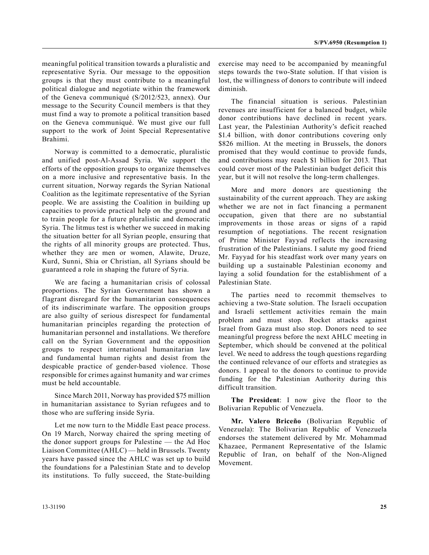meaningful political transition towards a pluralistic and representative Syria. Our message to the opposition groups is that they must contribute to a meaningful political dialogue and negotiate within the framework of the Geneva communiqué (S/2012/523, annex). Our message to the Security Council members is that they must find a way to promote a political transition based on the Geneva communiqué. We must give our full support to the work of Joint Special Representative Brahimi.

Norway is committed to a democratic, pluralistic and unified post-Al-Assad Syria. We support the efforts of the opposition groups to organize themselves on a more inclusive and representative basis. In the current situation, Norway regards the Syrian National Coalition as the legitimate representative of the Syrian people. We are assisting the Coalition in building up capacities to provide practical help on the ground and to train people for a future pluralistic and democratic Syria. The litmus test is whether we succeed in making the situation better for all Syrian people, ensuring that the rights of all minority groups are protected. Thus, whether they are men or women, Alawite, Druze, Kurd, Sunni, Shia or Christian, all Syrians should be guaranteed a role in shaping the future of Syria.

We are facing a humanitarian crisis of colossal proportions. The Syrian Government has shown a flagrant disregard for the humanitarian consequences of its indiscriminate warfare. The opposition groups are also guilty of serious disrespect for fundamental humanitarian principles regarding the protection of humanitarian personnel and installations. We therefore call on the Syrian Government and the opposition groups to respect international humanitarian law and fundamental human rights and desist from the despicable practice of gender-based violence. Those responsible for crimes against humanity and war crimes must be held accountable.

Since March 2011, Norway has provided \$75 million in humanitarian assistance to Syrian refugees and to those who are suffering inside Syria.

Let me now turn to the Middle East peace process. On 19 March, Norway chaired the spring meeting of the donor support groups for Palestine — the Ad Hoc Liaison Committee (AHLC) — held in Brussels. Twenty years have passed since the AHLC was set up to build the foundations for a Palestinian State and to develop its institutions. To fully succeed, the State-building

exercise may need to be accompanied by meaningful steps towards the two-State solution. If that vision is lost, the willingness of donors to contribute will indeed diminish.

The financial situation is serious. Palestinian revenues are insufficient for a balanced budget, while donor contributions have declined in recent years. Last year, the Palestinian Authority's deficit reached \$1.4 billion, with donor contributions covering only \$826 million. At the meeting in Brussels, the donors promised that they would continue to provide funds, and contributions may reach \$1 billion for 2013. That could cover most of the Palestinian budget deficit this year, but it will not resolve the long-term challenges.

More and more donors are questioning the sustainability of the current approach. They are asking whether we are not in fact financing a permanent occupation, given that there are no substantial improvements in those areas or signs of a rapid resumption of negotiations. The recent resignation of Prime Minister Fayyad reflects the increasing frustration of the Palestinians. I salute my good friend Mr. Fayyad for his steadfast work over many years on building up a sustainable Palestinian economy and laying a solid foundation for the establishment of a Palestinian State.

The parties need to recommit themselves to achieving a two-State solution. The Israeli occupation and Israeli settlement activities remain the main problem and must stop. Rocket attacks against Israel from Gaza must also stop. Donors need to see meaningful progress before the next AHLC meeting in September, which should be convened at the political level. We need to address the tough questions regarding the continued relevance of our efforts and strategies as donors. I appeal to the donors to continue to provide funding for the Palestinian Authority during this difficult transition.

**The President**: I now give the floor to the Bolivarian Republic of Venezuela.

**Mr. Valero Briceño** (Bolivarian Republic of Venezuela): The Bolivarian Republic of Venezuela endorses the statement delivered by Mr. Mohammad Khazaee, Permanent Representative of the Islamic Republic of Iran, on behalf of the Non-Aligned Movement.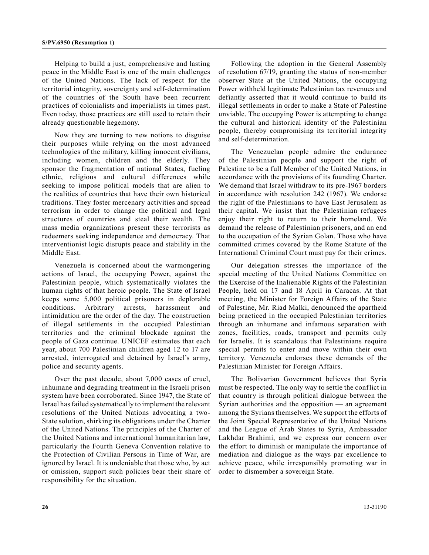Helping to build a just, comprehensive and lasting peace in the Middle East is one of the main challenges of the United Nations. The lack of respect for the territorial integrity, sovereignty and self-determination of the countries of the South have been recurrent practices of colonialists and imperialists in times past. Even today, those practices are still used to retain their already questionable hegemony.

Now they are turning to new notions to disguise their purposes while relying on the most advanced technologies of the military, killing innocent civilians, including women, children and the elderly. They sponsor the fragmentation of national States, fueling ethnic, religious and cultural differences while seeking to impose political models that are alien to the realities of countries that have their own historical traditions. They foster mercenary activities and spread terrorism in order to change the political and legal structures of countries and steal their wealth. The mass media organizations present these terrorists as redeemers seeking independence and democracy. That interventionist logic disrupts peace and stability in the Middle East.

Venezuela is concerned about the warmongering actions of Israel, the occupying Power, against the Palestinian people, which systematically violates the human rights of that heroic people. The State of Israel keeps some 5,000 political prisoners in deplorable conditions. Arbitrary arrests, harassment and intimidation are the order of the day. The construction of illegal settlements in the occupied Palestinian territories and the criminal blockade against the people of Gaza continue. UNICEF estimates that each year, about 700 Palestinian children aged 12 to 17 are arrested, interrogated and detained by Israel's army, police and security agents.

Over the past decade, about 7,000 cases of cruel, inhumane and degrading treatment in the Israeli prison system have been corroborated. Since 1947, the State of Israel has failed systematically to implement the relevant resolutions of the United Nations advocating a two-State solution, shirking its obligations under the Charter of the United Nations. The principles of the Charter of the United Nations and international humanitarian law, particularly the Fourth Geneva Convention relative to the Protection of Civilian Persons in Time of War, are ignored by Israel. It is undeniable that those who, by act or omission, support such policies bear their share of responsibility for the situation.

Following the adoption in the General Assembly of resolution 67/19, granting the status of non-member observer State at the United Nations, the occupying Power withheld legitimate Palestinian tax revenues and defiantly asserted that it would continue to build its illegal settlements in order to make a State of Palestine unviable. The occupying Power is attempting to change the cultural and historical identity of the Palestinian people, thereby compromising its territorial integrity and self-determination.

The Venezuelan people admire the endurance of the Palestinian people and support the right of Palestine to be a full Member of the United Nations, in accordance with the provisions of its founding Charter. We demand that Israel withdraw to its pre-1967 borders in accordance with resolution 242 (1967). We endorse the right of the Palestinians to have East Jerusalem as their capital. We insist that the Palestinian refugees enjoy their right to return to their homeland. We demand the release of Palestinian prisoners, and an end to the occupation of the Syrian Golan. Those who have committed crimes covered by the Rome Statute of the International Criminal Court must pay for their crimes.

Our delegation stresses the importance of the special meeting of the United Nations Committee on the Exercise of the Inalienable Rights of the Palestinian People, held on 17 and 18 April in Caracas. At that meeting, the Minister for Foreign Affairs of the State of Palestine, Mr. Riad Malki, denounced the apartheid being practiced in the occupied Palestinian territories through an inhumane and infamous separation with zones, facilities, roads, transport and permits only for Israelis. It is scandalous that Palestinians require special permits to enter and move within their own territory. Venezuela endorses these demands of the Palestinian Minister for Foreign Affairs.

The Bolivarian Government believes that Syria must be respected. The only way to settle the conflict in that country is through political dialogue between the Syrian authorities and the opposition — an agreement among the Syrians themselves. We support the efforts of the Joint Special Representative of the United Nations and the League of Arab States to Syria, Ambassador Lakhdar Brahimi, and we express our concern over the effort to diminish or manipulate the importance of mediation and dialogue as the ways par excellence to achieve peace, while irresponsibly promoting war in order to dismember a sovereign State.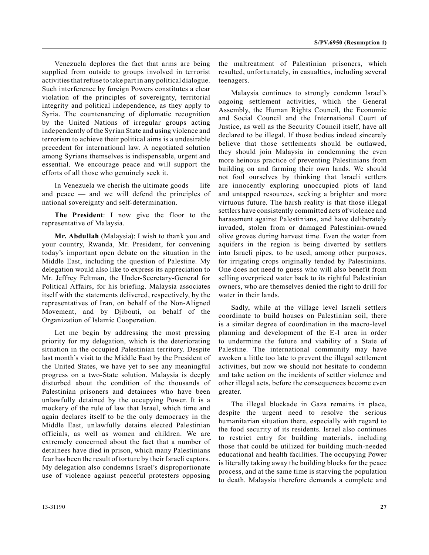Venezuela deplores the fact that arms are being supplied from outside to groups involved in terrorist activities that refuse to take part in any political dialogue. Such interference by foreign Powers constitutes a clear violation of the principles of sovereignty, territorial integrity and political independence, as they apply to Syria. The countenancing of diplomatic recognition by the United Nations of irregular groups acting independently of the Syrian State and using violence and terrorism to achieve their political aims is a undesirable precedent for international law. A negotiated solution among Syrians themselves is indispensable, urgent and essential. We encourage peace and will support the efforts of all those who genuinely seek it.

In Venezuela we cherish the ultimate goods — life and peace — and we will defend the principles of national sovereignty and self-determination.

**The President**: I now give the floor to the representative of Malaysia.

**Mr. Abdullah** (Malaysia): I wish to thank you and your country, Rwanda, Mr. President, for convening today's important open debate on the situation in the Middle East, including the question of Palestine. My delegation would also like to express its appreciation to Mr. Jeffrey Feltman, the Under-Secretary-General for Political Affairs, for his briefing. Malaysia associates itself with the statements delivered, respectively, by the representatives of Iran, on behalf of the Non-Aligned Movement, and by Djibouti, on behalf of the Organization of Islamic Cooperation.

Let me begin by addressing the most pressing priority for my delegation, which is the deteriorating situation in the occupied Palestinian territory. Despite last month's visit to the Middle East by the President of the United States, we have yet to see any meaningful progress on a two-State solution. Malaysia is deeply disturbed about the condition of the thousands of Palestinian prisoners and detainees who have been unlawfully detained by the occupying Power. It is a mockery of the rule of law that Israel, which time and again declares itself to be the only democracy in the Middle East, unlawfully detains elected Palestinian officials, as well as women and children. We are extremely concerned about the fact that a number of detainees have died in prison, which many Palestinians fear has been the result of torture by their Israeli captors. My delegation also condemns Israel's disproportionate use of violence against peaceful protesters opposing

the maltreatment of Palestinian prisoners, which resulted, unfortunately, in casualties, including several teenagers.

Malaysia continues to strongly condemn Israel's ongoing settlement activities, which the General Assembly, the Human Rights Council, the Economic and Social Council and the International Court of Justice, as well as the Security Council itself, have all declared to be illegal. If those bodies indeed sincerely believe that those settlements should be outlawed, they should join Malaysia in condemning the even more heinous practice of preventing Palestinians from building on and farming their own lands. We should not fool ourselves by thinking that Israeli settlers are innocently exploring unoccupied plots of land and untapped resources, seeking a brighter and more virtuous future. The harsh reality is that those illegal settlers have consistently committed acts of violence and harassment against Palestinians, and have deliberately invaded, stolen from or damaged Palestinian-owned olive groves during harvest time. Even the water from aquifers in the region is being diverted by settlers into Israeli pipes, to be used, among other purposes, for irrigating crops originally tended by Palestinians. One does not need to guess who will also benefit from selling overpriced water back to its rightful Palestinian owners, who are themselves denied the right to drill for water in their lands.

Sadly, while at the village level Israeli settlers coordinate to build houses on Palestinian soil, there is a similar degree of coordination in the macro-level planning and development of the E-1 area in order to undermine the future and viability of a State of Palestine. The international community may have awoken a little too late to prevent the illegal settlement activities, but now we should not hesitate to condemn and take action on the incidents of settler violence and other illegal acts, before the consequences become even greater.

The illegal blockade in Gaza remains in place, despite the urgent need to resolve the serious humanitarian situation there, especially with regard to the food security of its residents. Israel also continues to restrict entry for building materials, including those that could be utilized for building much-needed educational and health facilities. The occupying Power is literally taking away the building blocks for the peace process, and at the same time is starving the population to death. Malaysia therefore demands a complete and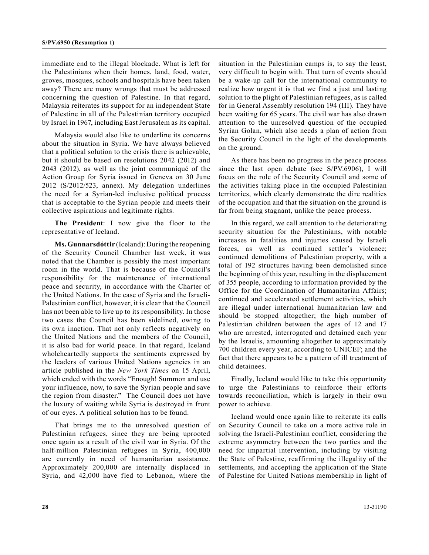immediate end to the illegal blockade. What is left for the Palestinians when their homes, land, food, water, groves, mosques, schools and hospitals have been taken away? There are many wrongs that must be addressed concerning the question of Palestine. In that regard, Malaysia reiterates its support for an independent State of Palestine in all of the Palestinian territory occupied by Israel in 1967, including East Jerusalem as its capital.

Malaysia would also like to underline its concerns about the situation in Syria. We have always believed that a political solution to the crisis there is achievable, but it should be based on resolutions 2042 (2012) and 2043 (2012), as well as the joint communiqué of the Action Group for Syria issued in Geneva on 30 June 2012 (S/2012/523, annex). My delegation underlines the need for a Syrian-led inclusive political process that is acceptable to the Syrian people and meets their collective aspirations and legitimate rights.

**The President**: I now give the floor to the representative of Iceland.

**Ms. Gunnarsdóttir** (Iceland): During the reopening of the Security Council Chamber last week, it was noted that the Chamber is possibly the most important room in the world. That is because of the Council's responsibility for the maintenance of international peace and security, in accordance with the Charter of the United Nations. In the case of Syria and the Israeli-Palestinian conflict, however, it is clear that the Council has not been able to live up to its responsibility. In those two cases the Council has been sidelined, owing to its own inaction. That not only reflects negatively on the United Nations and the members of the Council, it is also bad for world peace. In that regard, Iceland wholeheartedly supports the sentiments expressed by the leaders of various United Nations agencies in an article published in the *New York Times* on 15 April, which ended with the words "Enough! Summon and use your influence, now, to save the Syrian people and save the region from disaster." The Council does not have the luxury of waiting while Syria is destroyed in front of our eyes. A political solution has to be found.

That brings me to the unresolved question of Palestinian refugees, since they are being uprooted once again as a result of the civil war in Syria. Of the half-million Palestinian refugees in Syria, 400,000 are currently in need of humanitarian assistance. Approximately 200,000 are internally displaced in Syria, and 42,000 have fled to Lebanon, where the

situation in the Palestinian camps is, to say the least, very difficult to begin with. That turn of events should be a wake-up call for the international community to realize how urgent it is that we find a just and lasting solution to the plight of Palestinian refugees, as is called for in General Assembly resolution 194 (III). They have been waiting for 65 years. The civil war has also drawn attention to the unresolved question of the occupied Syrian Golan, which also needs a plan of action from the Security Council in the light of the developments on the ground.

As there has been no progress in the peace process since the last open debate (see S/PV.6906), I will focus on the role of the Security Council and some of the activities taking place in the occupied Palestinian territories, which clearly demonstrate the dire realities of the occupation and that the situation on the ground is far from being stagnant, unlike the peace process.

In this regard, we call attention to the deteriorating security situation for the Palestinians, with notable increases in fatalities and injuries caused by Israeli forces, as well as continued settler's violence; continued demolitions of Palestinian property, with a total of 192 structures having been demolished since the beginning of this year, resulting in the displacement of 355 people, according to information provided by the Office for the Coordination of Humanitarian Affairs; continued and accelerated settlement activities, which are illegal under international humanitarian law and should be stopped altogether; the high number of Palestinian children between the ages of 12 and 17 who are arrested, interrogated and detained each year by the Israelis, amounting altogether to approximately 700 children every year, according to UNICEF; and the fact that there appears to be a pattern of ill treatment of child detainees.

Finally, Iceland would like to take this opportunity to urge the Palestinians to reinforce their efforts towards reconciliation, which is largely in their own power to achieve.

Iceland would once again like to reiterate its calls on Security Council to take on a more active role in solving the Israeli-Palestinian conflict, considering the extreme asymmetry between the two parties and the need for impartial intervention, including by visiting the State of Palestine, reaffirming the illegality of the settlements, and accepting the application of the State of Palestine for United Nations membership in light of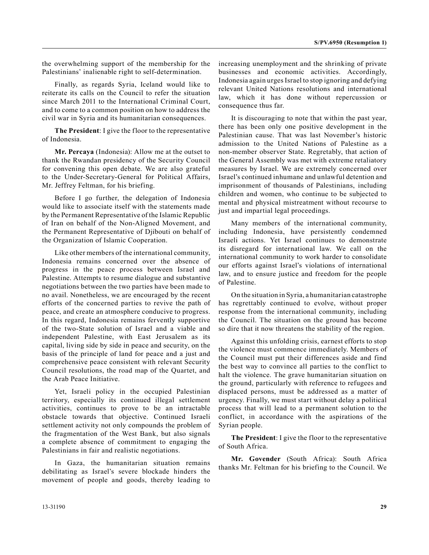the overwhelming support of the membership for the Palestinians' inalienable right to self-determination.

Finally, as regards Syria, Iceland would like to reiterate its calls on the Council to refer the situation since March 2011 to the International Criminal Court, and to come to a common position on how to address the civil war in Syria and its humanitarian consequences.

**The President**: I give the floor to the representative of Indonesia.

**Mr. Percaya** (Indonesia): Allow me at the outset to thank the Rwandan presidency of the Security Council for convening this open debate. We are also grateful to the Under-Secretary-General for Political Affairs, Mr. Jeffrey Feltman, for his briefing.

Before I go further, the delegation of Indonesia would like to associate itself with the statements made by the Permanent Representative of the Islamic Republic of Iran on behalf of the Non-Aligned Movement, and the Permanent Representative of Djibouti on behalf of the Organization of Islamic Cooperation.

Like other members of the international community, Indonesia remains concerned over the absence of progress in the peace process between Israel and Palestine. Attempts to resume dialogue and substantive negotiations between the two parties have been made to no avail. Nonetheless, we are encouraged by the recent efforts of the concerned parties to revive the path of peace, and create an atmosphere conducive to progress. In this regard, Indonesia remains fervently supportive of the two-State solution of Israel and a viable and independent Palestine, with East Jerusalem as its capital, living side by side in peace and security, on the basis of the principle of land for peace and a just and comprehensive peace consistent with relevant Security Council resolutions, the road map of the Quartet, and the Arab Peace Initiative.

Yet, Israeli policy in the occupied Palestinian territory, especially its continued illegal settlement activities, continues to prove to be an intractable obstacle towards that objective. Continued Israeli settlement activity not only compounds the problem of the fragmentation of the West Bank, but also signals a complete absence of commitment to engaging the Palestinians in fair and realistic negotiations.

In Gaza, the humanitarian situation remains debilitating as Israel's severe blockade hinders the movement of people and goods, thereby leading to increasing unemployment and the shrinking of private businesses and economic activities. Accordingly, Indonesia again urges Israel to stop ignoring and defying relevant United Nations resolutions and international law, which it has done without repercussion or consequence thus far.

It is discouraging to note that within the past year, there has been only one positive development in the Palestinian cause. That was last November's historic admission to the United Nations of Palestine as a non-member observer State. Regretably, that action of the General Assembly was met with extreme retaliatory measures by Israel. We are extremely concerned over Israel's continued inhumane and unlawful detention and imprisonment of thousands of Palestinians, including children and women, who continue to be subjected to mental and physical mistreatment without recourse to just and impartial legal proceedings.

Many members of the international community, including Indonesia, have persistently condemned Israeli actions. Yet Israel continues to demonstrate its disregard for international law. We call on the international community to work harder to consolidate our efforts against Israel's violations of international law, and to ensure justice and freedom for the people of Palestine.

On the situation in Syria, a humanitarian catastrophe has regrettably continued to evolve, without proper response from the international community, including the Council. The situation on the ground has become so dire that it now threatens the stability of the region.

Against this unfolding crisis, earnest efforts to stop the violence must commence immediately. Members of the Council must put their differences aside and find the best way to convince all parties to the conflict to halt the violence. The grave humanitarian situation on the ground, particularly with reference to refugees and displaced persons, must be addressed as a matter of urgency. Finally, we must start without delay a political process that will lead to a permanent solution to the conflict, in accordance with the aspirations of the Syrian people.

**The President**: I give the floor to the representative of South Africa.

**Mr. Govender** (South Africa): South Africa thanks Mr. Feltman for his briefing to the Council. We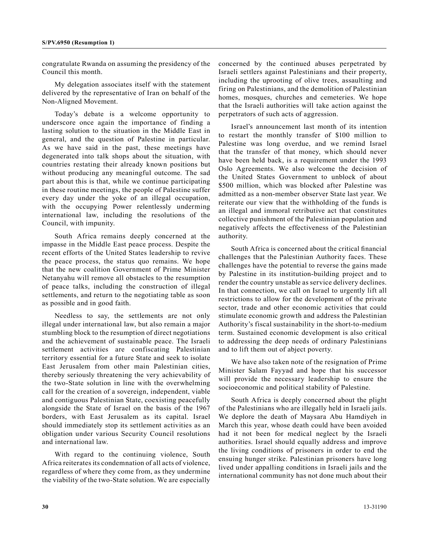congratulate Rwanda on assuming the presidency of the Council this month.

My delegation associates itself with the statement delivered by the representative of Iran on behalf of the Non-Aligned Movement.

Today's debate is a welcome opportunity to underscore once again the importance of finding a lasting solution to the situation in the Middle East in general, and the question of Palestine in particular. As we have said in the past, these meetings have degenerated into talk shops about the situation, with countries restating their already known positions but without producing any meaningful outcome. The sad part about this is that, while we continue participating in these routine meetings, the people of Palestine suffer every day under the yoke of an illegal occupation, with the occupying Power relentlessly underming international law, including the resolutions of the Council, with impunity.

South Africa remains deeply concerned at the impasse in the Middle East peace process. Despite the recent efforts of the United States leadership to revive the peace process, the status quo remains. We hope that the new coalition Government of Prime Minister Netanyahu will remove all obstacles to the resumption of peace talks, including the construction of illegal settlements, and return to the negotiating table as soon as possible and in good faith.

Needless to say, the settlements are not only illegal under international law, but also remain a major stumbling block to the resumption of direct negotiations and the achievement of sustainable peace. The Israeli settlement activities are confiscating Palestinian territory essential for a future State and seek to isolate East Jerusalem from other main Palestinian cities, thereby seriously threatening the very achievability of the two-State solution in line with the overwhelming call for the creation of a sovereign, independent, viable and contiguous Palestinian State, coexisting peacefully alongside the State of Israel on the basis of the 1967 borders, with East Jerusalem as its capital. Israel should immediately stop its settlement activities as an obligation under various Security Council resolutions and international law.

With regard to the continuing violence, South Africa reiterates its condemnation of all acts of violence, regardless of where they come from, as they undermine the viability of the two-State solution. We are especially

concerned by the continued abuses perpetrated by Israeli settlers against Palestinians and their property, including the uprooting of olive trees, assaulting and firing on Palestinians, and the demolition of Palestinian homes, mosques, churches and cemeteries. We hope that the Israeli authorities will take action against the perpetrators of such acts of aggression.

Israel's announcement last month of its intention to restart the monthly transfer of \$100 million to Palestine was long overdue, and we remind Israel that the transfer of that money, which should never have been held back, is a requirement under the 1993 Oslo Agreements. We also welcome the decision of the United States Government to unblock of about \$500 million, which was blocked after Palestine was admitted as a non-member observer State last year. We reiterate our view that the withholding of the funds is an illegal and immoral retributive act that constitutes collective punishment of the Palestinian population and negatively affects the effectiveness of the Palestinian authority.

South Africa is concerned about the critical financial challenges that the Palestinian Authority faces. These challenges have the potential to reverse the gains made by Palestine in its institution-building project and to render the country unstable as service delivery declines. In that connection, we call on Israel to urgently lift all restrictions to allow for the development of the private sector, trade and other economic activities that could stimulate economic growth and address the Palestinian Authority's fiscal sustainability in the short-to-medium term. Sustained economic development is also critical to addressing the deep needs of ordinary Palestinians and to lift them out of abject poverty.

We have also taken note of the resignation of Prime Minister Salam Fayyad and hope that his successor will provide the necessary leadership to ensure the socioeconomic and political stability of Palestine.

South Africa is deeply concerned about the plight of the Palestinians who are illegally held in Israeli jails. We deplore the death of Maysara Abu Hamdiyeh in March this year, whose death could have been avoided had it not been for medical neglect by the Israeli authorities. Israel should equally address and improve the living conditions of prisoners in order to end the ensuing hunger strike. Palestinian prisoners have long lived under appalling conditions in Israeli jails and the international community has not done much about their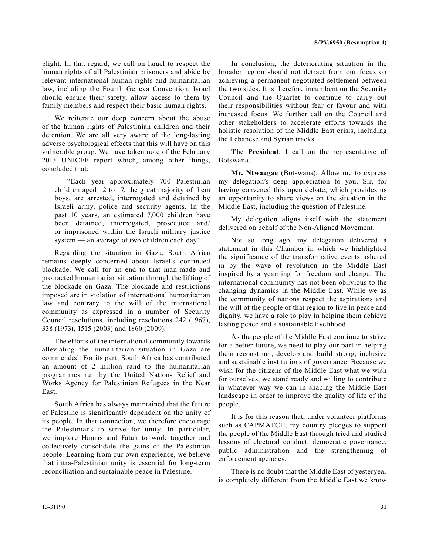plight. In that regard, we call on Israel to respect the human rights of all Palestinian prisoners and abide by relevant international human rights and humanitarian law, including the Fourth Geneva Convention. Israel should ensure their safety, allow access to them by family members and respect their basic human rights.

We reiterate our deep concern about the abuse of the human rights of Palestinian children and their detention. We are all very aware of the long-lasting adverse psychological effects that this will have on this vulnerable group. We have taken note of the February 2013 UNICEF report which, among other things, concluded that:

"Each year approximately 700 Palestinian children aged 12 to 17, the great majority of them boys, are arrested, interrogated and detained by Israeli army, police and security agents. In the past 10 years, an estimated 7,000 children have been detained, interrogated, prosecuted and/ or imprisoned within the Israeli military justice system — an average of two children each day".

Regarding the situation in Gaza, South Africa remains deeply concerned about Israel's continued blockade. We call for an end to that man-made and protracted humanitarian situation through the lifting of the blockade on Gaza. The blockade and restrictions imposed are in violation of international humanitarian law and contrary to the will of the international community as expressed in a number of Security Council resolutions, including resolutions 242 (1967), 338 (1973), 1515 (2003) and 1860 (2009).

The efforts of the international community towards alleviating the humanitarian situation in Gaza are commended. For its part, South Africa has contributed an amount of 2 million rand to the humanitarian programmes run by the United Nations Relief and Works Agency for Palestinian Refugees in the Near East.

South Africa has always maintained that the future of Palestine is significantly dependent on the unity of its people. In that connection, we therefore encourage the Palestinians to strive for unity. In particular, we implore Hamas and Fatah to work together and collectively consolidate the gains of the Palestinian people. Learning from our own experience, we believe that intra-Palestinian unity is essential for long-term reconciliation and sustainable peace in Palestine.

In conclusion, the deteriorating situation in the broader region should not detract from our focus on achieving a permanent negotiated settlement between the two sides. It is therefore incumbent on the Security Council and the Quartet to continue to carry out their responsibilities without fear or favour and with increased focus. We further call on the Council and other stakeholders to accelerate efforts towards the holistic resolution of the Middle East crisis, including the Lebanese and Syrian tracks.

**The President**: I call on the representative of Botswana.

**Mr. Ntwaagae** (Botswana): Allow me to express my delegation's deep appreciation to you, Sir, for having convened this open debate, which provides us an opportunity to share views on the situation in the Middle East, including the question of Palestine.

My delegation aligns itself with the statement delivered on behalf of the Non-Aligned Movement.

Not so long ago, my delegation delivered a statement in this Chamber in which we highlighted the significance of the transformative events ushered in by the wave of revolution in the Middle East inspired by a yearning for freedom and change. The international community has not been oblivious to the changing dynamics in the Middle East. While we as the community of nations respect the aspirations and the will of the people of that region to live in peace and dignity, we have a role to play in helping them achieve lasting peace and a sustainable livelihood.

As the people of the Middle East continue to strive for a better future, we need to play our part in helping them reconstruct, develop and build strong, inclusive and sustainable institutions of governance. Because we wish for the citizens of the Middle East what we wish for ourselves, we stand ready and willing to contribute in whatever way we can in shaping the Middle East landscape in order to improve the quality of life of the people.

It is for this reason that, under volunteer platforms such as CAPMATCH, my country pledges to support the people of the Middle East through tried and studied lessons of electoral conduct, democratic governance, public administration and the strengthening of enforcement agencies.

There is no doubt that the Middle East of yesteryear is completely different from the Middle East we know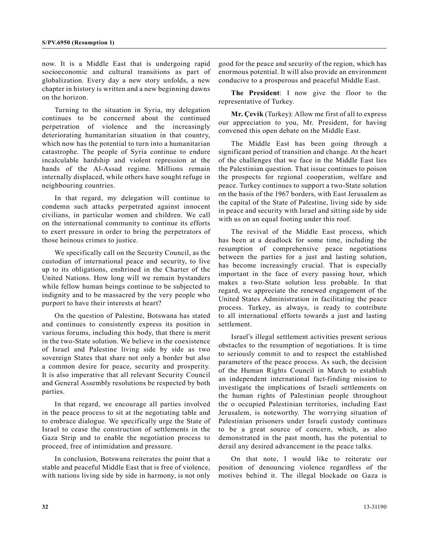now. It is a Middle East that is undergoing rapid socioeconomic and cultural transitions as part of globalization. Every day a new story unfolds, a new chapter in history is written and a new beginning dawns on the horizon.

Turning to the situation in Syria, my delegation continues to be concerned about the continued perpetration of violence and the increasingly deteriorating humanitarian situation in that country, which now has the potential to turn into a humanitarian catastrophe. The people of Syria continue to endure incalculable hardship and violent repression at the hands of the Al-Assad regime. Millions remain internally displaced, while others have sought refuge in neighbouring countries.

In that regard, my delegation will continue to condemn such attacks perpetrated against innocent civilians, in particular women and children. We call on the international community to continue its efforts to exert pressure in order to bring the perpetrators of those heinous crimes to justice.

We specifically call on the Security Council, as the custodian of international peace and security, to live up to its obligations, enshrined in the Charter of the United Nations. How long will we remain bystanders while fellow human beings continue to be subjected to indignity and to be massacred by the very people who purport to have their interests at heart?

On the question of Palestine, Botswana has stated and continues to consistently express its position in various forums, including this body, that there is merit in the two-State solution. We believe in the coexistence of Israel and Palestine living side by side as two sovereign States that share not only a border but also a common desire for peace, security and prosperity. It is also imperative that all relevant Security Council and General Assembly resolutions be respected by both parties.

In that regard, we encourage all parties involved in the peace process to sit at the negotiating table and to embrace dialogue. We specifically urge the State of Israel to cease the construction of settlements in the Gaza Strip and to enable the negotiation process to proceed, free of intimidation and pressure.

In conclusion, Botswana reiterates the point that a stable and peaceful Middle East that is free of violence, with nations living side by side in harmony, is not only good for the peace and security of the region, which has enormous potential. It will also provide an environment conducive to a prosperous and peaceful Middle East.

**The President**: I now give the floor to the representative of Turkey.

**Mr. Çevik** (Turkey): Allow me first of all to express our appreciation to you, Mr. President, for having convened this open debate on the Middle East.

The Middle East has been going through a significant period of transition and change. At the heart of the challenges that we face in the Middle East lies the Palestinian question. That issue continues to poison the prospects for regional cooperation, welfare and peace. Turkey continues to support a two-State solution on the basis of the 1967 borders, with East Jerusalem as the capital of the State of Palestine, living side by side in peace and security with Israel and sitting side by side with us on an equal footing under this roof.

The revival of the Middle East process, which has been at a deadlock for some time, including the resumption of comprehensive peace negotiations between the parties for a just and lasting solution, has become increasingly crucial. That is especially important in the face of every passing hour, which makes a two-State solution less probable. In that regard, we appreciate the renewed engagement of the United States Administration in facilitating the peace process. Turkey, as always, is ready to contribute to all international efforts towards a just and lasting settlement.

Israel's illegal settlement activities present serious obstacles to the resumption of negotiations. It is time to seriously commit to and to respect the established parameters of the peace process. As such, the decision of the Human Rights Council in March to establish an independent international fact-finding mission to investigate the implications of Israeli settlements on the human rights of Palestinian people throughout the o occupied Palestinian territories, including East Jerusalem, is noteworthy. The worrying situation of Palestinian prisoners under Israeli custody continues to be a great source of concern, which, as also demonstrated in the past month, has the potential to derail any desired advancement in the peace talks.

On that note, I would like to reiterate our position of denouncing violence regardless of the motives behind it. The illegal blockade on Gaza is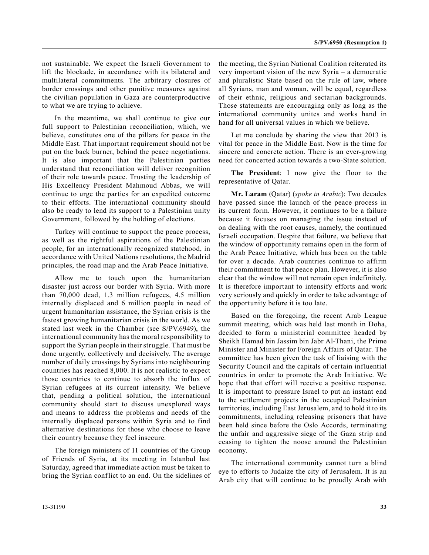not sustainable. We expect the Israeli Government to lift the blockade, in accordance with its bilateral and multilateral commitments. The arbitrary closures of border crossings and other punitive measures against the civilian population in Gaza are counterproductive to what we are trying to achieve.

In the meantime, we shall continue to give our full support to Palestinian reconciliation, which, we believe, constitutes one of the pillars for peace in the Middle East. That important requirement should not be put on the back burner, behind the peace negotiations. It is also important that the Palestinian parties understand that reconciliation will deliver recognition of their role towards peace. Trusting the leadership of His Excellency President Mahmoud Abbas, we will continue to urge the parties for an expedited outcome to their efforts. The international community should also be ready to lend its support to a Palestinian unity Government, followed by the holding of elections.

Turkey will continue to support the peace process, as well as the rightful aspirations of the Palestinian people, for an internationally recognized statehood, in accordance with United Nations resolutions, the Madrid principles, the road map and the Arab Peace Initiative.

Allow me to touch upon the humanitarian disaster just across our border with Syria. With more than 70,000 dead, 1.3 million refugees, 4.5 million internally displaced and 6 million people in need of urgent humanitarian assistance, the Syrian crisis is the fastest growing humanitarian crisis in the world. As we stated last week in the Chamber (see S/PV.6949), the international community has the moral responsibility to support the Syrian people in their struggle. That must be done urgently, collectively and decisively. The average number of daily crossings by Syrians into neighbouring countries has reached 8,000. It is not realistic to expect those countries to continue to absorb the influx of Syrian refugees at its current intensity. We believe that, pending a political solution, the international community should start to discuss unexplored ways and means to address the problems and needs of the internally displaced persons within Syria and to find alternative destinations for those who choose to leave their country because they feel insecure.

The foreign ministers of 11 countries of the Group of Friends of Syria, at its meeting in Istanbul last Saturday, agreed that immediate action must be taken to bring the Syrian conflict to an end. On the sidelines of

the meeting, the Syrian National Coalition reiterated its very important vision of the new Syria – a democratic and pluralistic State based on the rule of law, where all Syrians, man and woman, will be equal, regardless of their ethnic, religious and sectarian backgrounds. Those statements are encouraging only as long as the international community unites and works hand in hand for all universal values in which we believe.

Let me conclude by sharing the view that 2013 is vital for peace in the Middle East. Now is the time for sincere and concrete action. There is an ever-growing need for concerted action towards a two-State solution.

**The President**: I now give the floor to the representative of Qatar.

**Mr. Laram** (Qatar) (*spoke in Arabic*): Two decades have passed since the launch of the peace process in its current form. However, it continues to be a failure because it focuses on managing the issue instead of on dealing with the root causes, namely, the continued Israeli occupation. Despite that failure, we believe that the window of opportunity remains open in the form of the Arab Peace Initiative, which has been on the table for over a decade. Arab countries continue to affirm their commitment to that peace plan. However, it is also clear that the window will not remain open indefinitely. It is therefore important to intensify efforts and work very seriously and quickly in order to take advantage of the opportunity before it is too late.

Based on the foregoing, the recent Arab League summit meeting, which was held last month in Doha, decided to form a ministerial committee headed by Sheikh Hamad bin Jassim bin Jabr Al-Thani, the Prime Minister and Minister for Foreign Affairs of Qatar. The committee has been given the task of liaising with the Security Council and the capitals of certain influential countries in order to promote the Arab Initiative. We hope that that effort will receive a positive response. It is important to pressure Israel to put an instant end to the settlement projects in the occupied Palestinian territories, including East Jerusalem, and to hold it to its commitments, including releasing prisoners that have been held since before the Oslo Accords, terminating the unfair and aggressive siege of the Gaza strip and ceasing to tighten the noose around the Palestinian economy.

The international community cannot turn a blind eye to efforts to Judaize the city of Jerusalem. It is an Arab city that will continue to be proudly Arab with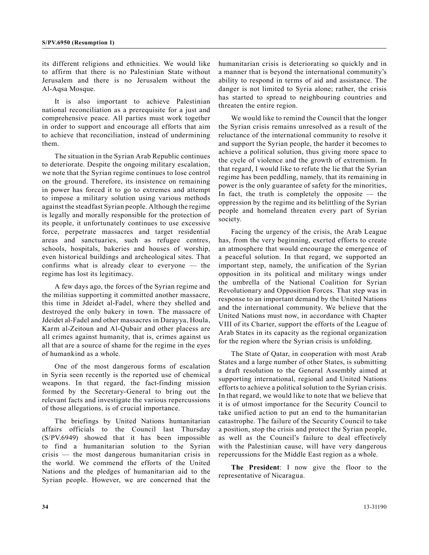its different religions and ethnicities. We would like to affirm that there is no Palestinian State without Jerusalem and there is no Jerusalem without the Al-Aqsa Mosque.

It is also important to achieve Palestinian national reconciliation as a prerequisite for a just and comprehensive peace. All parties must work together in order to support and encourage all efforts that aim to achieve that reconciliation, instead of undermining them.

The situation in the Syrian Arab Republic continues to deteriorate. Despite the ongoing military escalation, we note that the Syrian regime continues to lose control on the ground. Therefore, its insistence on remaining in power has forced it to go to extremes and attempt to impose a military solution using various methods against the steadfast Syrian people. Although the regime is legally and morally responsible for the protection of its people, it unfortunately continues to use excessive force, perpetrate massacres and target residential areas and sanctuaries, such as refugee centres, schools, hospitals, bakeries and houses of worship, even historical buildings and archeological sites. That confirms what is already clear to everyone — the regime has lost its legitimacy.

A few days ago, the forces of the Syrian regime and the militias supporting it committed another massacre, this time in Jdeidet al-Fadel, where they shelled and destroyed the only bakery in town. The massacre of Jdeidet al-Fadel and other massacres in Darayya, Houla, Karm al-Zeitoun and Al-Qubair and other placess are all crimes against humanity, that is, crimes against us all that are a source of shame for the regime in the eyes of humankind as a whole.

One of the most dangerous forms of escalation in Syria seen recently is the reported use of chemical weapons. In that regard, the fact-finding mission formed by the Secretary-General to bring out the relevant facts and investigate the various repercussions of those allegations, is of crucial importance.

The briefings by United Nations humanitarian affairs officials to the Council last Thursday (S/PV.6949) showed that it has been impossible to find a humanitarian solution to the Syrian crisis — the most dangerous humanitarian crisis in the world. We commend the efforts of the United Nations and the pledges of humanitarian aid to the Syrian people. However, we are concerned that the

humanitarian crisis is deteriorating so quickly and in a manner that is beyond the international community's ability to respond in terms of aid and assistance. The danger is not limited to Syria alone; rather, the crisis has started to spread to neighbouring countries and threaten the entire region.

We would like to remind the Council that the longer the Syrian crisis remains unresolved as a result of the reluctance of the international community to resolve it and support the Syrian people, the harder it becomes to achieve a political solution, thus giving more space to the cycle of violence and the growth of extremism. In that regard, I would like to refute the lie that the Syrian regime has been peddling, namely, that its remaining in power is the only guarantee of safety for the minorities, In fact, the truth is completely the opposite — the oppression by the regime and its belittling of the Syrian people and homeland threaten every part of Syrian society.

Facing the urgency of the crisis, the Arab League has, from the very beginning, exerted efforts to create an atmosphere that would encourage the emergence of a peaceful solution. In that regard, we supported an important step, namely, the unification of the Syrian opposition in its political and military wings under the umbrella of the National Coalition for Syrian Revolutionary and Opposition Forces. That step was in response to an important demand by the United Nations and the international community. We believe that the United Nations must now, in accordance with Chapter VIII of its Charter, support the efforts of the League of Arab States in its capacity as the regional organization for the region where the Syrian crisis is unfolding.

The State of Qatar, in cooperation with most Arab States and a large number of other States, is submitting a draft resolution to the General Assembly aimed at supporting international, regional and United Nations efforts to achieve a political solution to the Syrian crisis. In that regard, we would like to note that we believe that it is of utmost importance for the Security Council to take unified action to put an end to the humanitarian catastrophe. The failure of the Security Council to take a position, stop the crisis and protect the Syrian people, as well as the Council's failure to deal effectively with the Palestinian cause, will have very dangerous repercussions for the Middle East region as a whole.

**The President**: I now give the floor to the representative of Nicaragua.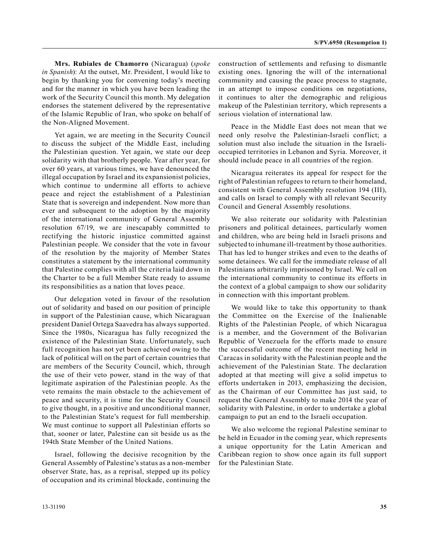**Mrs. Rubiales de Chamorro** (Nicaragua) (*spoke in Spanish*): At the outset, Mr. President, I would like to begin by thanking you for convening today's meeting and for the manner in which you have been leading the work of the Security Council this month. My delegation endorses the statement delivered by the representative of the Islamic Republic of Iran, who spoke on behalf of the Non-Aligned Movement.

Yet again, we are meeting in the Security Council to discuss the subject of the Middle East, including the Palestinian question. Yet again, we state our deep solidarity with that brotherly people. Year after year, for over 60 years, at various times, we have denounced the illegal occupation by Israel and its expansionist policies, which continue to undermine all efforts to achieve peace and reject the establishment of a Palestinian State that is sovereign and independent. Now more than ever and subsequent to the adoption by the majority of the international community of General Assembly resolution 67/19, we are inescapably committed to rectifying the historic injustice committed against Palestinian people. We consider that the vote in favour of the resolution by the majority of Member States constitutes a statement by the international community that Palestine complies with all the criteria laid down in the Charter to be a full Member State ready to assume its responsibilities as a nation that loves peace.

Our delegation voted in favour of the resolution out of solidarity and based on our position of principle in support of the Palestinian cause, which Nicaraguan president Daniel Ortega Saavedra has always supported. Since the 1980s, Nicaragua has fully recognized the existence of the Palestinian State. Unfortunately, such full recognition has not yet been achieved owing to the lack of political will on the part of certain countries that are members of the Security Council, which, through the use of their veto power, stand in the way of that legitimate aspiration of the Palestinian people. As the veto remains the main obstacle to the achievement of peace and security, it is time for the Security Council to give thought, in a positive and unconditional manner, to the Palestinian State's request for full membership. We must continue to support all Palestinian efforts so that, sooner or later, Palestine can sit beside us as the 194th State Member of the United Nations.

Israel, following the decisive recognition by the General Assembly of Palestine's status as a non-member observer State, has, as a reprisal, stepped up its policy of occupation and its criminal blockade, continuing the construction of settlements and refusing to dismantle existing ones. Ignoring the will of the international community and causing the peace process to stagnate, in an attempt to impose conditions on negotiations, it continues to alter the demographic and religious makeup of the Palestinian territory, which represents a serious violation of international law.

Peace in the Middle East does not mean that we need only resolve the Palestinian-Israeli conflict; a solution must also include the situation in the Israelioccupied territories in Lebanon and Syria. Moreover, it should include peace in all countries of the region.

Nicaragua reiterates its appeal for respect for the right of Palestinian refugees to return to their homeland, consistent with General Assembly resolution 194 (III), and calls on Israel to comply with all relevant Security Council and General Assembly resolutions.

We also reiterate our solidarity with Palestinian prisoners and political detainees, particularly women and children, who are being held in Israeli prisons and subjected to inhumane ill-treatment by those authorities. That has led to hunger strikes and even to the deaths of some detainees. We call for the immediate release of all Palestinians arbitrarily imprisoned by Israel. We call on the international community to continue its efforts in the context of a global campaign to show our solidarity in connection with this important problem.

We would like to take this opportunity to thank the Committee on the Exercise of the Inalienable Rights of the Palestinian People, of which Nicaragua is a member, and the Government of the Bolivarian Republic of Venezuela for the efforts made to ensure the successful outcome of the recent meeting held in Caracas in solidarity with the Palestinian people and the achievement of the Palestinian State. The declaration adopted at that meeting will give a solid impetus to efforts undertaken in 2013, emphasizing the decision, as the Chairman of our Committee has just said, to request the General Assembly to make 2014 the year of solidarity with Palestine, in order to undertake a global campaign to put an end to the Israeli occupation.

We also welcome the regional Palestine seminar to be held in Ecuador in the coming year, which represents a unique opportunity for the Latin American and Caribbean region to show once again its full support for the Palestinian State.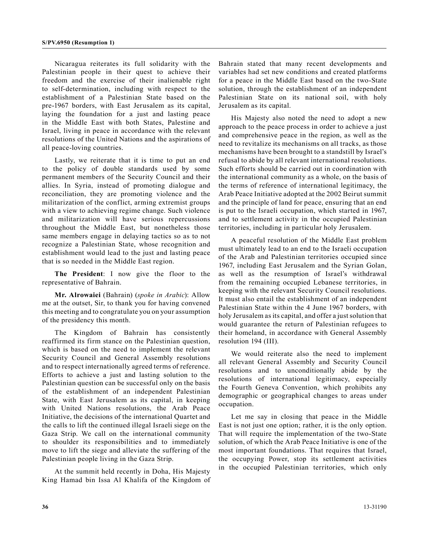Nicaragua reiterates its full solidarity with the Palestinian people in their quest to achieve their freedom and the exercise of their inalienable right to self-determination, including with respect to the establishment of a Palestinian State based on the pre-1967 borders, with East Jerusalem as its capital, laying the foundation for a just and lasting peace in the Middle East with both States, Palestine and Israel, living in peace in accordance with the relevant resolutions of the United Nations and the aspirations of all peace-loving countries.

Lastly, we reiterate that it is time to put an end to the policy of double standards used by some permanent members of the Security Council and their allies. In Syria, instead of promoting dialogue and reconciliation, they are promoting violence and the militarization of the conflict, arming extremist groups with a view to achieving regime change. Such violence and militarization will have serious repercussions throughout the Middle East, but nonetheless those same members engage in delaying tactics so as to not recognize a Palestinian State, whose recognition and establishment would lead to the just and lasting peace that is so needed in the Middle East region.

**The President**: I now give the floor to the representative of Bahrain.

**Mr. Alrowaiei** (Bahrain) (*spoke in Arabic*): Allow me at the outset, Sir, to thank you for having convened this meeting and to congratulate you on your assumption of the presidency this month.

The Kingdom of Bahrain has consistently reaffirmed its firm stance on the Palestinian question, which is based on the need to implement the relevant Security Council and General Assembly resolutions and to respect internationally agreed terms of reference. Efforts to achieve a just and lasting solution to the Palestinian question can be successful only on the basis of the establishment of an independent Palestinian State, with East Jerusalem as its capital, in keeping with United Nations resolutions, the Arab Peace Initiative, the decisions of the international Quartet and the calls to lift the continued illegal Israeli siege on the Gaza Strip. We call on the international community to shoulder its responsibilities and to immediately move to lift the siege and alleviate the suffering of the Palestinian people living in the Gaza Strip.

At the summit held recently in Doha, His Majesty King Hamad bin Issa Al Khalifa of the Kingdom of Bahrain stated that many recent developments and variables had set new conditions and created platforms for a peace in the Middle East based on the two-State solution, through the establishment of an independent Palestinian State on its national soil, with holy Jerusalem as its capital.

His Majesty also noted the need to adopt a new approach to the peace process in order to achieve a just and comprehensive peace in the region, as well as the need to revitalize its mechanisms on all tracks, as those mechanisms have been brought to a standstill by Israel's refusal to abide by all relevant international resolutions. Such efforts should be carried out in coordination with the international community as a whole, on the basis of the terms of reference of international legitimacy, the Arab Peace Initiative adopted at the 2002 Beirut summit and the principle of land for peace, ensuring that an end is put to the Israeli occupation, which started in 1967, and to settlement activity in the occupied Palestinian territories, including in particular holy Jerusalem.

A peaceful resolution of the Middle East problem must ultimately lead to an end to the Israeli occupation of the Arab and Palestinian territories occupied since 1967, including East Jerusalem and the Syrian Golan, as well as the resumption of Israel's withdrawal from the remaining occupied Lebanese territories, in keeping with the relevant Security Council resolutions. It must also entail the establishment of an independent Palestinian State within the 4 June 1967 borders, with holy Jerusalem as its capital, and offer a just solution that would guarantee the return of Palestinian refugees to their homeland, in accordance with General Assembly resolution 194 (III).

We would reiterate also the need to implement all relevant General Assembly and Security Council resolutions and to unconditionally abide by the resolutions of international legitimacy, especially the Fourth Geneva Convention, which prohibits any demographic or geographical changes to areas under occupation.

Let me say in closing that peace in the Middle East is not just one option; rather, it is the only option. That will require the implementation of the two-State solution, of which the Arab Peace Initiative is one of the most important foundations. That requires that Israel, the occupying Power, stop its settlement activities in the occupied Palestinian territories, which only